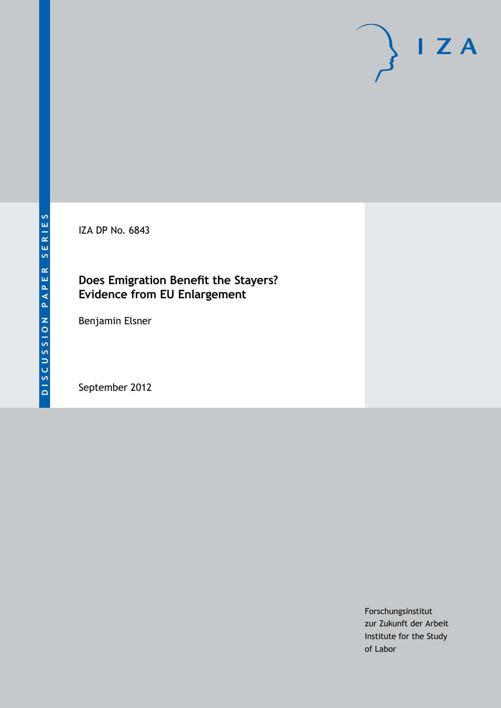IZA DP No. 6843

## **Does Emigration Benefit the Stayers? Evidence from EU Enlargement**

Benjamin Elsner

September 2012

Forschungsinstitut zur Zukunft der Arbeit Institute for the Study of Labor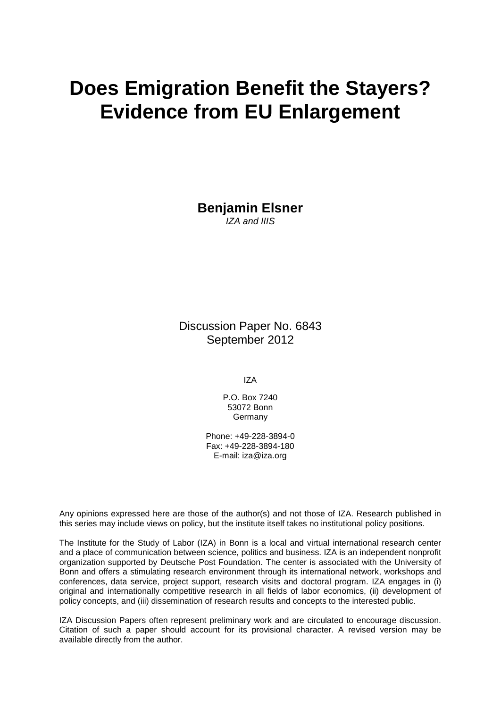# **Does Emigration Benefit the Stayers? Evidence from EU Enlargement**

**Benjamin Elsner** *IZA and IIIS*

Discussion Paper No. 6843 September 2012

IZA

P.O. Box 7240 53072 Bonn Germany

Phone: +49-228-3894-0 Fax: +49-228-3894-180 E-mail: [iza@iza.org](mailto:iza@iza.org)

Any opinions expressed here are those of the author(s) and not those of IZA. Research published in this series may include views on policy, but the institute itself takes no institutional policy positions.

The Institute for the Study of Labor (IZA) in Bonn is a local and virtual international research center and a place of communication between science, politics and business. IZA is an independent nonprofit organization supported by Deutsche Post Foundation. The center is associated with the University of Bonn and offers a stimulating research environment through its international network, workshops and conferences, data service, project support, research visits and doctoral program. IZA engages in (i) original and internationally competitive research in all fields of labor economics, (ii) development of policy concepts, and (iii) dissemination of research results and concepts to the interested public.

<span id="page-1-0"></span>IZA Discussion Papers often represent preliminary work and are circulated to encourage discussion. Citation of such a paper should account for its provisional character. A revised version may be available directly from the author.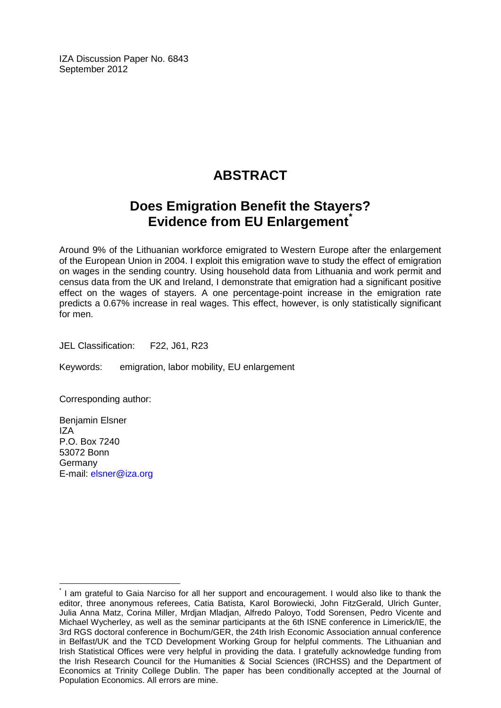IZA Discussion Paper No. 6843 September 2012

## **ABSTRACT**

## **Does Emigration Benefit the Stayers? Evidence from EU Enlargement[\\*](#page-1-0)**

Around 9% of the Lithuanian workforce emigrated to Western Europe after the enlargement of the European Union in 2004. I exploit this emigration wave to study the effect of emigration on wages in the sending country. Using household data from Lithuania and work permit and census data from the UK and Ireland, I demonstrate that emigration had a significant positive effect on the wages of stayers. A one percentage-point increase in the emigration rate predicts a 0.67% increase in real wages. This effect, however, is only statistically significant for men.

JEL Classification: F22, J61, R23

Keywords: emigration, labor mobility, EU enlargement

Corresponding author:

Benjamin Elsner IZA P.O. Box 7240 53072 Bonn Germany E-mail: [elsner@iza.org](mailto:elsner@iza.org)

I am grateful to Gaia Narciso for all her support and encouragement. I would also like to thank the editor, three anonymous referees, Catia Batista, Karol Borowiecki, John FitzGerald, Ulrich Gunter, Julia Anna Matz, Corina Miller, Mrdjan Mladjan, Alfredo Paloyo, Todd Sorensen, Pedro Vicente and Michael Wycherley, as well as the seminar participants at the 6th ISNE conference in Limerick/IE, the 3rd RGS doctoral conference in Bochum/GER, the 24th Irish Economic Association annual conference in Belfast/UK and the TCD Development Working Group for helpful comments. The Lithuanian and Irish Statistical Offices were very helpful in providing the data. I gratefully acknowledge funding from the Irish Research Council for the Humanities & Social Sciences (IRCHSS) and the Department of Economics at Trinity College Dublin. The paper has been conditionally accepted at the Journal of Population Economics. All errors are mine.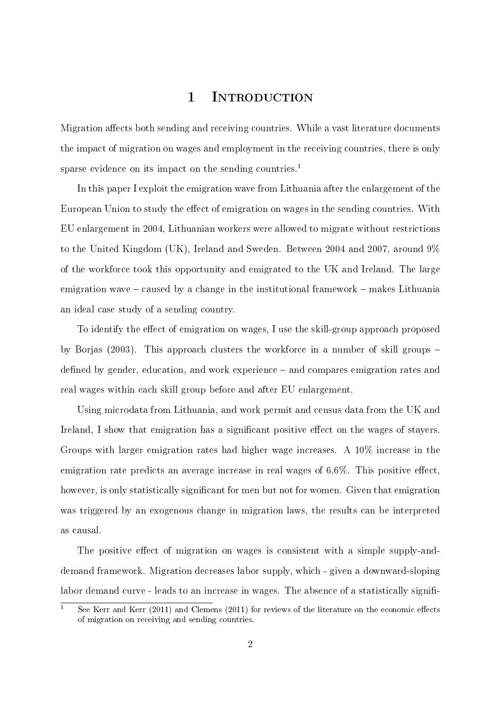### 1 Introduction

Migration affects both sending and receiving countries. While a vast literature documents the impact of migration on wages and employment in the receiving countries, there is only sparse evidence on its impact on the sending countries.<sup>1</sup>

In this paper I exploit the emigration wave from Lithuania after the enlargement of the European Union to study the effect of emigration on wages in the sending countries. With EU enlargement in 2004, Lithuanian workers were allowed to migrate without restrictions to the United Kingdom (UK), Ireland and Sweden. Between 2004 and 2007, around 9% of the workforce took this opportunity and emigrated to the UK and Ireland. The large emigration wave  $-\text{caused}$  by a change in the institutional framework  $-\text{ makes Lithuania}$ an ideal case study of a sending country.

To identify the effect of emigration on wages, I use the skill-group approach proposed by Borjas (2003). This approach clusters the workforce in a number of skill groups defined by gender, education, and work experience – and compares emigration rates and real wages within each skill group before and after EU enlargement.

Using microdata from Lithuania, and work permit and census data from the UK and Ireland, I show that emigration has a significant positive effect on the wages of stayers. Groups with larger emigration rates had higher wage increases. A 10% increase in the emigration rate predicts an average increase in real wages of  $6.6\%$ . This positive effect, however, is only statistically significant for men but not for women. Given that emigration was triggered by an exogenous change in migration laws, the results can be interpreted as causal.

The positive effect of migration on wages is consistent with a simple supply-anddemand framework. Migration decreases labor supply, which - given a downward-sloping labor demand curve - leads to an increase in wages. The absence of a statistically signifi-

<sup>&</sup>lt;sup>1</sup> See Kerr and Kerr (2011) and Clemens (2011) for reviews of the literature on the economic effects of migration on receiving and sending countries.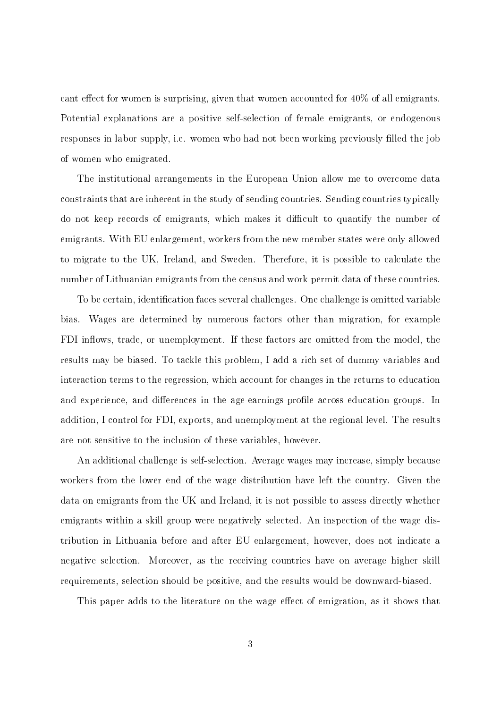cant effect for women is surprising, given that women accounted for  $40\%$  of all emigrants. Potential explanations are a positive self-selection of female emigrants, or endogenous responses in labor supply, i.e. women who had not been working previously filled the job of women who emigrated.

The institutional arrangements in the European Union allow me to overcome data constraints that are inherent in the study of sending countries. Sending countries typically do not keep records of emigrants, which makes it difficult to quantify the number of emigrants. With EU enlargement, workers from the new member states were only allowed to migrate to the UK, Ireland, and Sweden. Therefore, it is possible to calculate the number of Lithuanian emigrants from the census and work permit data of these countries.

To be certain, identification faces several challenges. One challenge is omitted variable bias. Wages are determined by numerous factors other than migration, for example FDI inflows, trade, or unemployment. If these factors are omitted from the model, the results may be biased. To tackle this problem, I add a rich set of dummy variables and interaction terms to the regression, which account for changes in the returns to education and experience, and differences in the age-earnings-profile across education groups. In addition, I control for FDI, exports, and unemployment at the regional level. The results are not sensitive to the inclusion of these variables, however.

An additional challenge is self-selection. Average wages may increase, simply because workers from the lower end of the wage distribution have left the country. Given the data on emigrants from the UK and Ireland, it is not possible to assess directly whether emigrants within a skill group were negatively selected. An inspection of the wage distribution in Lithuania before and after EU enlargement, however, does not indicate a negative selection. Moreover, as the receiving countries have on average higher skill requirements, selection should be positive, and the results would be downward-biased.

This paper adds to the literature on the wage effect of emigration, as it shows that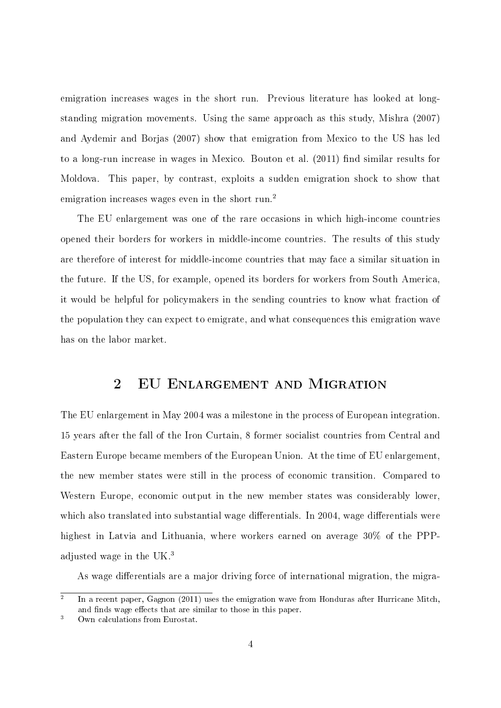emigration increases wages in the short run. Previous literature has looked at longstanding migration movements. Using the same approach as this study, Mishra (2007) and Aydemir and Borjas (2007) show that emigration from Mexico to the US has led to a long-run increase in wages in Mexico. Bouton et al. (2011) find similar results for Moldova. This paper, by contrast, exploits a sudden emigration shock to show that emigration increases wages even in the short run.<sup>2</sup>

The EU enlargement was one of the rare occasions in which high-income countries opened their borders for workers in middle-income countries. The results of this study are therefore of interest for middle-income countries that may face a similar situation in the future. If the US, for example, opened its borders for workers from South America, it would be helpful for policymakers in the sending countries to know what fraction of the population they can expect to emigrate, and what consequences this emigration wave has on the labor market.

## 2 EU Enlargement and Migration

The EU enlargement in May 2004 was a milestone in the process of European integration. 15 years after the fall of the Iron Curtain, 8 former socialist countries from Central and Eastern Europe became members of the European Union. At the time of EU enlargement, the new member states were still in the process of economic transition. Compared to Western Europe, economic output in the new member states was considerably lower, which also translated into substantial wage differentials. In 2004, wage differentials were highest in Latvia and Lithuania, where workers earned on average 30% of the PPPadjusted wage in the UK.<sup>3</sup>

As wage differentials are a major driving force of international migration, the migra-

 $\overline{2}$ In a recent paper, Gagnon (2011) uses the emigration wave from Honduras after Hurricane Mitch, and finds wage effects that are similar to those in this paper.

<sup>3</sup> Own calculations from Eurostat.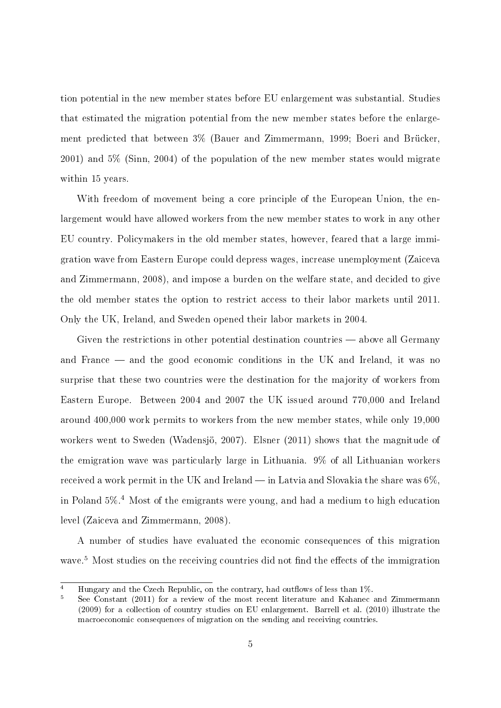tion potential in the new member states before EU enlargement was substantial. Studies that estimated the migration potential from the new member states before the enlargement predicted that between 3% (Bauer and Zimmermann, 1999; Boeri and Brücker, 2001) and 5% (Sinn, 2004) of the population of the new member states would migrate within 15 years.

With freedom of movement being a core principle of the European Union, the enlargement would have allowed workers from the new member states to work in any other EU country. Policymakers in the old member states, however, feared that a large immigration wave from Eastern Europe could depress wages, increase unemployment (Zaiceva and Zimmermann, 2008), and impose a burden on the welfare state, and decided to give the old member states the option to restrict access to their labor markets until 2011. Only the UK, Ireland, and Sweden opened their labor markets in 2004.

Given the restrictions in other potential destination countries  $-$  above all Germany and France  $-$  and the good economic conditions in the UK and Ireland, it was no surprise that these two countries were the destination for the majority of workers from Eastern Europe. Between 2004 and 2007 the UK issued around 770,000 and Ireland around 400,000 work permits to workers from the new member states, while only 19,000 workers went to Sweden (Wadensjö, 2007). Elsner (2011) shows that the magnitude of the emigration wave was particularly large in Lithuania. 9% of all Lithuanian workers received a work permit in the UK and Ireland  $\frac{1}{2}$  in Latvia and Slovakia the share was 6%, in Poland 5%.<sup>4</sup> Most of the emigrants were young, and had a medium to high education level (Zaiceva and Zimmermann, 2008).

A number of studies have evaluated the economic consequences of this migration wave.<sup>5</sup> Most studies on the receiving countries did not find the effects of the immigration

<sup>&</sup>lt;sup>4</sup> Hungary and the Czech Republic, on the contrary, had outflows of less than  $1\%$ .

<sup>5</sup> See Constant (2011) for a review of the most recent literature and Kahanec and Zimmermann (2009) for a collection of country studies on EU enlargement. Barrell et al. (2010) illustrate the macroeconomic consequences of migration on the sending and receiving countries.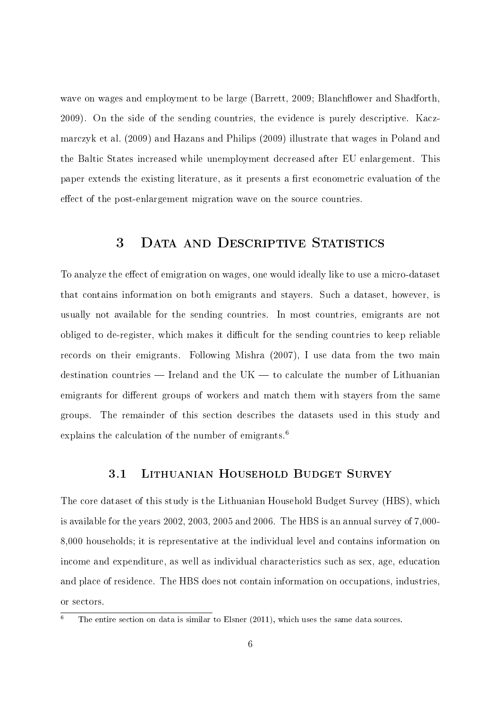wave on wages and employment to be large (Barrett, 2009; Blanchflower and Shadforth, 2009). On the side of the sending countries, the evidence is purely descriptive. Kaczmarczyk et al. (2009) and Hazans and Philips (2009) illustrate that wages in Poland and the Baltic States increased while unemployment decreased after EU enlargement. This paper extends the existing literature, as it presents a first econometric evaluation of the effect of the post-enlargement migration wave on the source countries.

## 3 Data and Descriptive Statistics

To analyze the effect of emigration on wages, one would ideally like to use a micro-dataset that contains information on both emigrants and stayers. Such a dataset, however, is usually not available for the sending countries. In most countries, emigrants are not obliged to de-register, which makes it difficult for the sending countries to keep reliable records on their emigrants. Following Mishra (2007), I use data from the two main destination countries  $-$  Ireland and the UK  $-$  to calculate the number of Lithuanian emigrants for different groups of workers and match them with stayers from the same groups. The remainder of this section describes the datasets used in this study and explains the calculation of the number of emigrants.<sup>6</sup>

#### 3.1 Lithuanian Household Budget Survey

The core dataset of this study is the Lithuanian Household Budget Survey (HBS), which is available for the years 2002, 2003, 2005 and 2006. The HBS is an annual survey of 7,000- 8,000 households; it is representative at the individual level and contains information on income and expenditure, as well as individual characteristics such as sex, age, education and place of residence. The HBS does not contain information on occupations, industries, or sectors.

 $\overline{6}$  The entire section on data is similar to Elsner (2011), which uses the same data sources.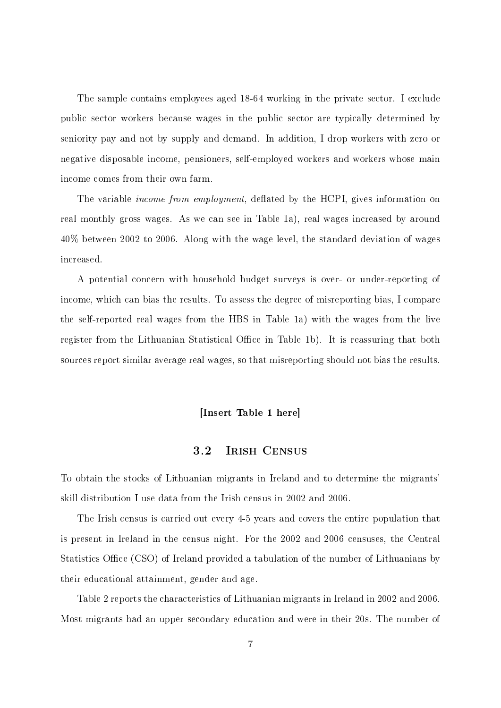The sample contains employees aged 18-64 working in the private sector. I exclude public sector workers because wages in the public sector are typically determined by seniority pay and not by supply and demand. In addition, I drop workers with zero or negative disposable income, pensioners, self-employed workers and workers whose main income comes from their own farm.

The variable *income from employment*, deflated by the HCPI, gives information on real monthly gross wages. As we can see in Table 1a), real wages increased by around 40% between 2002 to 2006. Along with the wage level, the standard deviation of wages increased.

A potential concern with household budget surveys is over- or under-reporting of income, which can bias the results. To assess the degree of misreporting bias, I compare the self-reported real wages from the HBS in Table 1a) with the wages from the live register from the Lithuanian Statistical Office in Table 1b). It is reassuring that both sources report similar average real wages, so that misreporting should not bias the results.

#### [Insert Table 1 here]

#### 3.2 Irish Census

To obtain the stocks of Lithuanian migrants in Ireland and to determine the migrants' skill distribution I use data from the Irish census in 2002 and 2006.

The Irish census is carried out every 4-5 years and covers the entire population that is present in Ireland in the census night. For the 2002 and 2006 censuses, the Central Statistics Office (CSO) of Ireland provided a tabulation of the number of Lithuanians by their educational attainment, gender and age.

Table 2 reports the characteristics of Lithuanian migrants in Ireland in 2002 and 2006. Most migrants had an upper secondary education and were in their 20s. The number of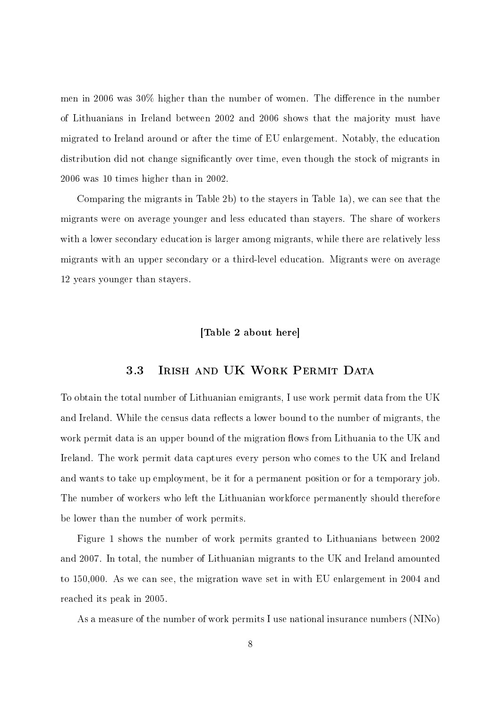men in  $2006$  was  $30\%$  higher than the number of women. The difference in the number of Lithuanians in Ireland between 2002 and 2006 shows that the majority must have migrated to Ireland around or after the time of EU enlargement. Notably, the education distribution did not change significantly over time, even though the stock of migrants in 2006 was 10 times higher than in 2002.

Comparing the migrants in Table 2b) to the stayers in Table 1a), we can see that the migrants were on average younger and less educated than stayers. The share of workers with a lower secondary education is larger among migrants, while there are relatively less migrants with an upper secondary or a third-level education. Migrants were on average 12 years younger than stayers.

#### [Table 2 about here]

#### 3.3 Irish and UK Work Permit Data

To obtain the total number of Lithuanian emigrants, I use work permit data from the UK and Ireland. While the census data reflects a lower bound to the number of migrants, the work permit data is an upper bound of the migration flows from Lithuania to the UK and Ireland. The work permit data captures every person who comes to the UK and Ireland and wants to take up employment, be it for a permanent position or for a temporary job. The number of workers who left the Lithuanian workforce permanently should therefore be lower than the number of work permits.

Figure 1 shows the number of work permits granted to Lithuanians between 2002 and 2007. In total, the number of Lithuanian migrants to the UK and Ireland amounted to 150,000. As we can see, the migration wave set in with EU enlargement in 2004 and reached its peak in 2005.

As a measure of the number of work permits I use national insurance numbers (NINo)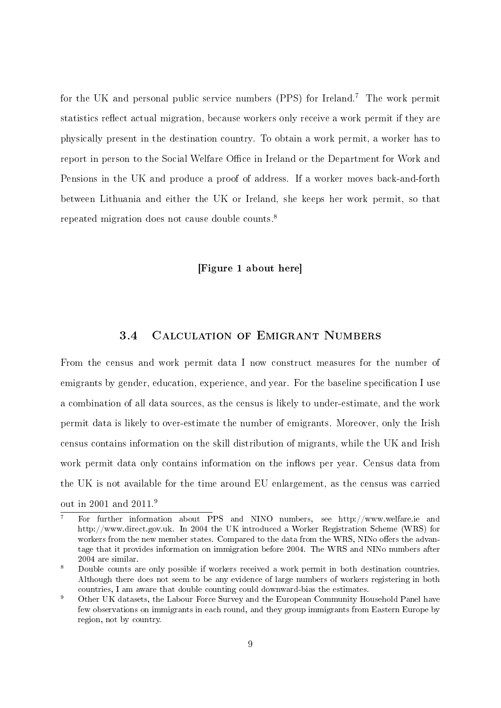for the UK and personal public service numbers (PPS) for Ireland.<sup>7</sup> The work permit statistics reflect actual migration, because workers only receive a work permit if they are physically present in the destination country. To obtain a work permit, a worker has to report in person to the Social Welfare Office in Ireland or the Department for Work and Pensions in the UK and produce a proof of address. If a worker moves back-and-forth between Lithuania and either the UK or Ireland, she keeps her work permit, so that repeated migration does not cause double counts.<sup>8</sup>

#### [Figure 1 about here]

### 3.4 Calculation of Emigrant Numbers

From the census and work permit data I now construct measures for the number of emigrants by gender, education, experience, and year. For the baseline specification I use a combination of all data sources, as the census is likely to under-estimate, and the work permit data is likely to over-estimate the number of emigrants. Moreover, only the Irish census contains information on the skill distribution of migrants, while the UK and Irish work permit data only contains information on the inflows per year. Census data from the UK is not available for the time around EU enlargement, as the census was carried out in 2001 and 2011.<sup>9</sup>

<sup>7</sup> For further information about PPS and NINO numbers, see http://www.welfare.ie and http://www.direct.gov.uk. In 2004 the UK introduced a Worker Registration Scheme (WRS) for workers from the new member states. Compared to the data from the WRS, NINo offers the advantage that it provides information on immigration before 2004. The WRS and NINo numbers after 2004 are similar.

<sup>&</sup>lt;sup>8</sup> Double counts are only possible if workers received a work permit in both destination countries. Although there does not seem to be any evidence of large numbers of workers registering in both countries, I am aware that double counting could downward-bias the estimates.

<sup>&</sup>lt;sup>9</sup> Other UK datasets, the Labour Force Survey and the European Community Household Panel have few observations on immigrants in each round, and they group immigrants from Eastern Europe by region, not by country.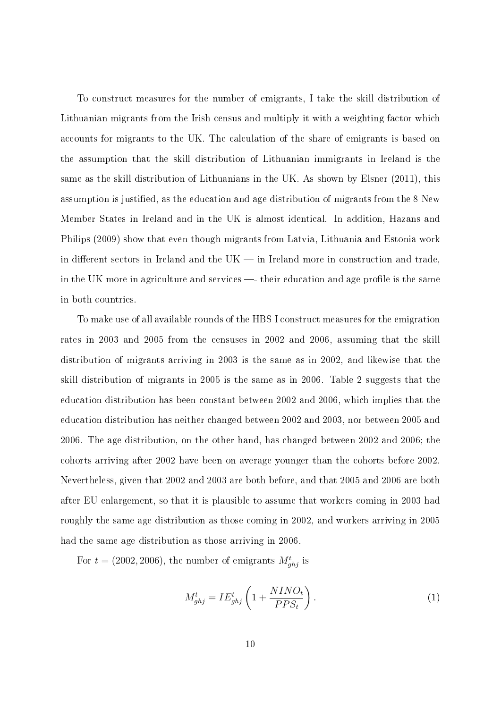To construct measures for the number of emigrants, I take the skill distribution of Lithuanian migrants from the Irish census and multiply it with a weighting factor which accounts for migrants to the UK. The calculation of the share of emigrants is based on the assumption that the skill distribution of Lithuanian immigrants in Ireland is the same as the skill distribution of Lithuanians in the UK. As shown by Elsner (2011), this assumption is justified, as the education and age distribution of migrants from the 8 New Member States in Ireland and in the UK is almost identical. In addition, Hazans and Philips (2009) show that even though migrants from Latvia, Lithuania and Estonia work in different sectors in Ireland and the  $UK - in$  Ireland more in construction and trade, in the UK more in agriculture and services — their education and age profile is the same in both countries.

To make use of all available rounds of the HBS I construct measures for the emigration rates in 2003 and 2005 from the censuses in 2002 and 2006, assuming that the skill distribution of migrants arriving in 2003 is the same as in 2002, and likewise that the skill distribution of migrants in 2005 is the same as in 2006. Table 2 suggests that the education distribution has been constant between 2002 and 2006, which implies that the education distribution has neither changed between 2002 and 2003, nor between 2005 and 2006. The age distribution, on the other hand, has changed between 2002 and 2006; the cohorts arriving after 2002 have been on average younger than the cohorts before 2002. Nevertheless, given that 2002 and 2003 are both before, and that 2005 and 2006 are both after EU enlargement, so that it is plausible to assume that workers coming in 2003 had roughly the same age distribution as those coming in 2002, and workers arriving in 2005 had the same age distribution as those arriving in 2006.

For  $t = (2002, 2006)$ , the number of emigrants  $M_{ghj}^t$  is

$$
M_{ghj}^t = IE_{ghj}^t \left( 1 + \frac{NINO_t}{PPS_t} \right). \tag{1}
$$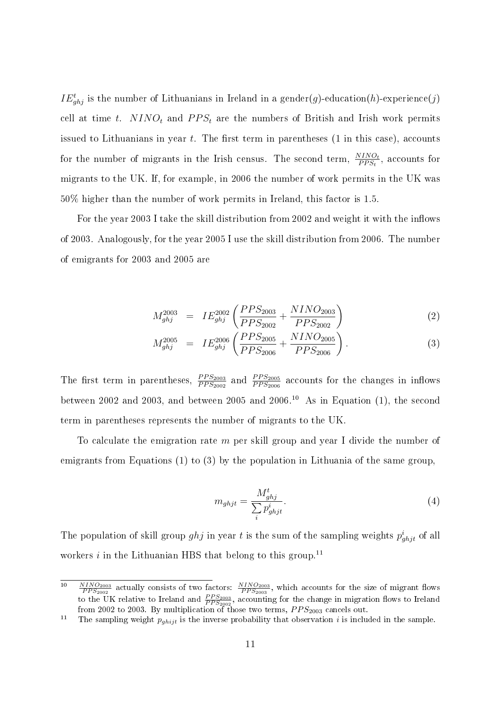$IE<sup>t</sup><sub>ghj</sub>$  is the number of Lithuanians in Ireland in a gender(g)-education(h)-experience(j) cell at time t.  $NINO_t$  and  $PPS_t$  are the numbers of British and Irish work permits issued to Lithuanians in year t. The first term in parentheses  $(1 \text{ in this case})$ , accounts for the number of migrants in the Irish census. The second term,  $\frac{NINO_t}{PPSt}$ , accounts for migrants to the UK. If, for example, in 2006 the number of work permits in the UK was 50% higher than the number of work permits in Ireland, this factor is 1.5.

For the year 2003 I take the skill distribution from 2002 and weight it with the inflows of 2003. Analogously, for the year 2005 I use the skill distribution from 2006. The number of emigrants for 2003 and 2005 are

$$
M_{ghj}^{2003} = IE_{ghj}^{2002} \left( \frac{PPS_{2003}}{PPS_{2002}} + \frac{NINO_{2003}}{PPS_{2002}} \right)
$$
 (2)

$$
M_{ghj}^{2005} = I E_{ghj}^{2006} \left( \frac{PPS_{2005}}{PPS_{2006}} + \frac{NINO_{2005}}{PPS_{2006}} \right). \tag{3}
$$

The first term in parentheses,  $\frac{PPS_{2003}}{PPS_{2002}}$  and  $\frac{PPS_{2005}}{PPS_{2006}}$  accounts for the changes in inflows between 2002 and 2003, and between 2005 and 2006.<sup>10</sup> As in Equation (1), the second term in parentheses represents the number of migrants to the UK.

To calculate the emigration rate m per skill group and year I divide the number of emigrants from Equations (1) to (3) by the population in Lithuania of the same group,

$$
m_{ghjt} = \frac{M_{ghj}^t}{\sum_i p_{ghjt}^i}.\tag{4}
$$

The population of skill group  $ghj$  in year t is the sum of the sampling weights  $p_{ghjt}^i$  of all workers i in the Lithuanian HBS that belong to this group.<sup>11</sup>

<sup>&</sup>lt;sup>10</sup>  $\frac{NINO_{2003}}{PPS_{2002}}$  actually consists of two factors:  $\frac{NINO_{2003}}{PPS_{2003}}$ , which accounts for the size of migrant flows to the UK relative to Ireland and  $\frac{PPS_{2003}}{PPS_{2002}}$ , accounting for the change in migration flows to Ireland from 2002 to 2003. By multiplication of those two terms,  $PPS_{\rm 2003}$  cancels out.

<sup>&</sup>lt;sup>11</sup> The sampling weight  $p_{ghijt}$  is the inverse probability that observation i is included in the sample.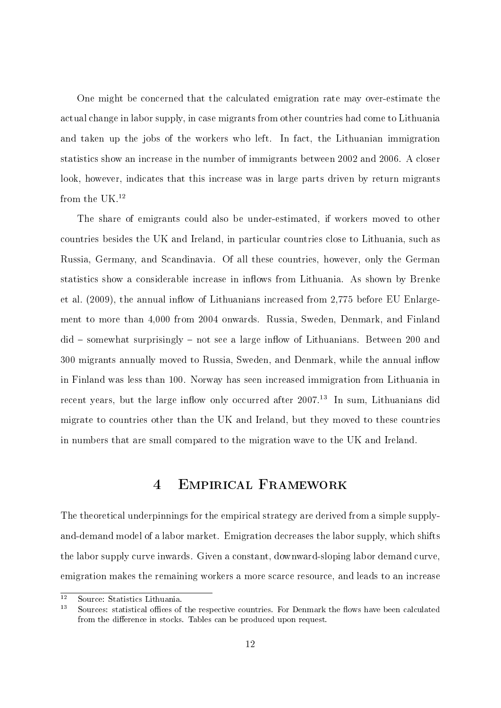One might be concerned that the calculated emigration rate may over-estimate the actual change in labor supply, in case migrants from other countries had come to Lithuania and taken up the jobs of the workers who left. In fact, the Lithuanian immigration statistics show an increase in the number of immigrants between 2002 and 2006. A closer look, however, indicates that this increase was in large parts driven by return migrants from the UK.<sup>12</sup>

The share of emigrants could also be under-estimated, if workers moved to other countries besides the UK and Ireland, in particular countries close to Lithuania, such as Russia, Germany, and Scandinavia. Of all these countries, however, only the German statistics show a considerable increase in inflows from Lithuania. As shown by Brenke et al.  $(2009)$ , the annual inflow of Lithuanians increased from 2,775 before EU Enlargement to more than 4,000 from 2004 onwards. Russia, Sweden, Denmark, and Finland  $did$  - somewhat surprisingly – not see a large inflow of Lithuanians. Between 200 and 300 migrants annually moved to Russia, Sweden, and Denmark, while the annual inflow in Finland was less than 100. Norway has seen increased immigration from Lithuania in recent years, but the large inflow only occurred after  $2007<sup>13</sup>$  In sum, Lithuanians did migrate to countries other than the UK and Ireland, but they moved to these countries in numbers that are small compared to the migration wave to the UK and Ireland.

## 4 Empirical Framework

The theoretical underpinnings for the empirical strategy are derived from a simple supplyand-demand model of a labor market. Emigration decreases the labor supply, which shifts the labor supply curve inwards. Given a constant, downward-sloping labor demand curve, emigration makes the remaining workers a more scarce resource, and leads to an increase

 $\frac{12}{13}$  Source: Statistics Lithuania.

Sources: statistical offices of the respective countries. For Denmark the flows have been calculated from the difference in stocks. Tables can be produced upon request.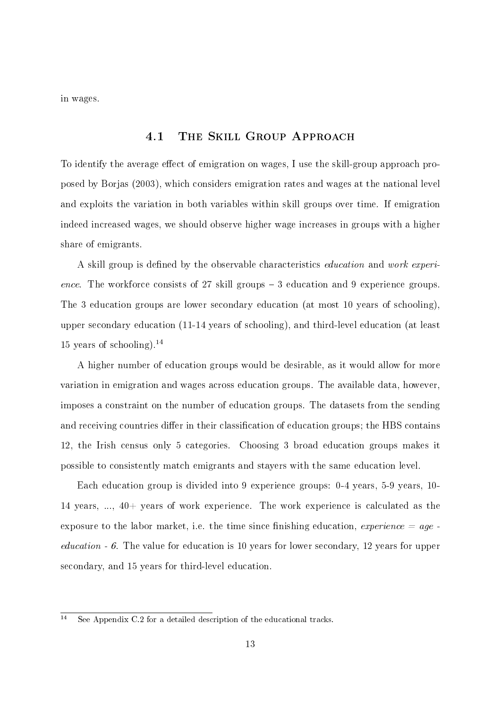in wages.

### 4.1 The Skill Group Approach

To identify the average effect of emigration on wages, I use the skill-group approach proposed by Borjas (2003), which considers emigration rates and wages at the national level and exploits the variation in both variables within skill groups over time. If emigration indeed increased wages, we should observe higher wage increases in groups with a higher share of emigrants.

A skill group is defined by the observable characteristics *education* and work experience. The workforce consists of 27 skill groups  $-3$  education and 9 experience groups. The 3 education groups are lower secondary education (at most 10 years of schooling), upper secondary education (11-14 years of schooling), and third-level education (at least 15 years of schooling).<sup>14</sup>

A higher number of education groups would be desirable, as it would allow for more variation in emigration and wages across education groups. The available data, however, imposes a constraint on the number of education groups. The datasets from the sending and receiving countries differ in their classification of education groups; the HBS contains 12, the Irish census only 5 categories. Choosing 3 broad education groups makes it possible to consistently match emigrants and stayers with the same education level.

Each education group is divided into 9 experience groups: 0-4 years, 5-9 years, 10- 14 years, ..., 40+ years of work experience. The work experience is calculated as the exposure to the labor market, i.e. the time since finishing education, experience  $= age$ . education - 6. The value for education is 10 years for lower secondary, 12 years for upper secondary, and 15 years for third-level education.

 $14$  See Appendix C.2 for a detailed description of the educational tracks.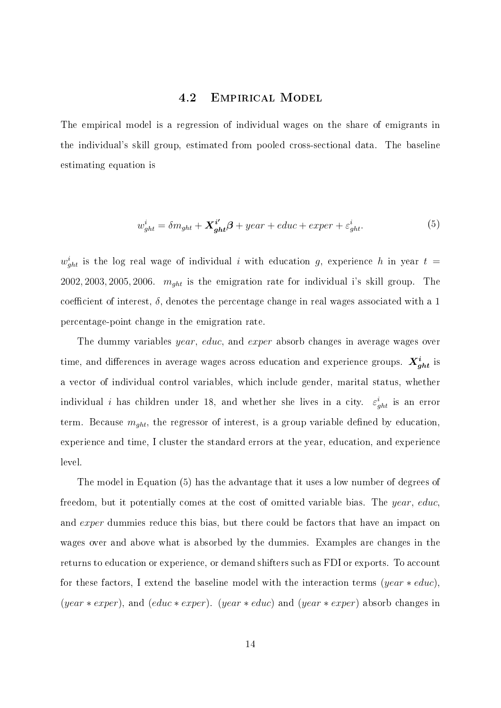### 4.2 Empirical Model

The empirical model is a regression of individual wages on the share of emigrants in the individual's skill group, estimated from pooled cross-sectional data. The baseline estimating equation is

$$
w_{ght}^{i} = \delta m_{ght} + \mathbf{X}_{ght}^{i'}\boldsymbol{\beta} + year + educ + expert + \varepsilon_{ght}^{i}.
$$
 (5)

 $w_{ght}^{i}$  is the log real wage of individual i with education g, experience h in year  $t =$ 2002, 2003, 2005, 2006.  $m_{ght}$  is the emigration rate for individual i's skill group. The coefficient of interest,  $\delta$ , denotes the percentage change in real wages associated with a 1 percentage-point change in the emigration rate.

The dummy variables *year, educ*, and *exper* absorb changes in average wages over time, and differences in average wages across education and experience groups.  $X_{ght}^i$  is a vector of individual control variables, which include gender, marital status, whether individual *i* has children under 18, and whether she lives in a city.  $\varepsilon_{ght}^{i}$  is an error term. Because  $m_{ght}$ , the regressor of interest, is a group variable defined by education, experience and time, I cluster the standard errors at the year, education, and experience level.

The model in Equation (5) has the advantage that it uses a low number of degrees of freedom, but it potentially comes at the cost of omitted variable bias. The year, educ, and *exper* dummies reduce this bias, but there could be factors that have an impact on wages over and above what is absorbed by the dummies. Examples are changes in the returns to education or experience, or demand shifters such as FDI or exports. To account for these factors, I extend the baseline model with the interaction terms  $(year * educ)$ , (year  $*$  exper), and (educ  $*$  exper). (year  $*$  educ) and (year  $*$  exper) absorb changes in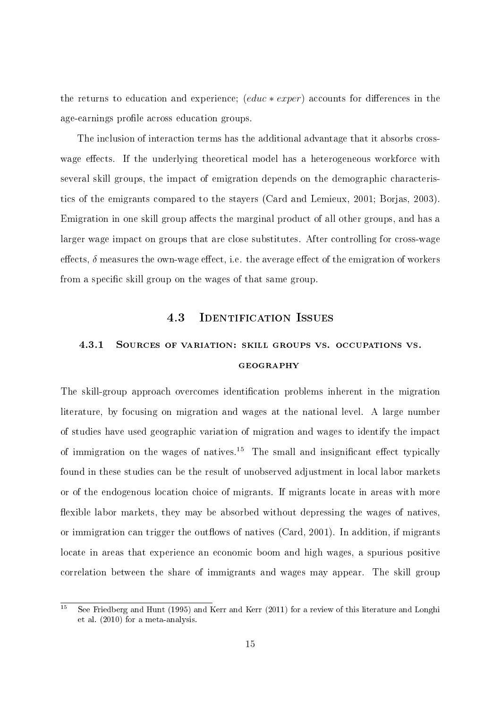the returns to education and experience;  $(educ * exper)$  accounts for differences in the age-earnings profile across education groups.

The inclusion of interaction terms has the additional advantage that it absorbs crosswage effects. If the underlying theoretical model has a heterogeneous workforce with several skill groups, the impact of emigration depends on the demographic characteristics of the emigrants compared to the stayers (Card and Lemieux, 2001; Borjas, 2003). Emigration in one skill group affects the marginal product of all other groups, and has a larger wage impact on groups that are close substitutes. After controlling for cross-wage effects,  $\delta$  measures the own-wage effect, i.e. the average effect of the emigration of workers from a specific skill group on the wages of that same group.

### 4.3 Identification Issues

## 4.3.1 Sources of variation: skill groups vs. occupations vs. **GEOGRAPHY**

The skill-group approach overcomes identification problems inherent in the migration literature, by focusing on migration and wages at the national level. A large number of studies have used geographic variation of migration and wages to identify the impact of immigration on the wages of natives.<sup>15</sup> The small and insignificant effect typically found in these studies can be the result of unobserved adjustment in local labor markets or of the endogenous location choice of migrants. If migrants locate in areas with more flexible labor markets, they may be absorbed without depressing the wages of natives, or immigration can trigger the outflows of natives (Card, 2001). In addition, if migrants locate in areas that experience an economic boom and high wages, a spurious positive correlation between the share of immigrants and wages may appear. The skill group

 $\frac{15}{15}$  See Friedberg and Hunt (1995) and Kerr and Kerr (2011) for a review of this literature and Longhi et al. (2010) for a meta-analysis.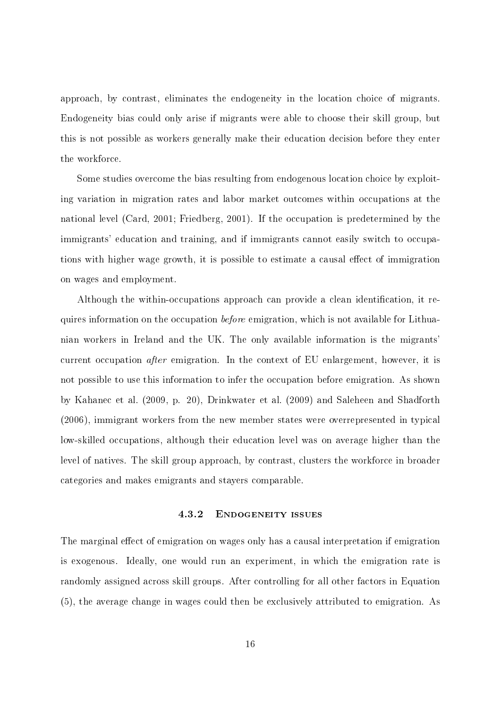approach, by contrast, eliminates the endogeneity in the location choice of migrants. Endogeneity bias could only arise if migrants were able to choose their skill group, but this is not possible as workers generally make their education decision before they enter the workforce.

Some studies overcome the bias resulting from endogenous location choice by exploiting variation in migration rates and labor market outcomes within occupations at the national level (Card, 2001; Friedberg, 2001). If the occupation is predetermined by the immigrants' education and training, and if immigrants cannot easily switch to occupations with higher wage growth, it is possible to estimate a causal effect of immigration on wages and employment.

Although the within-occupations approach can provide a clean identification, it requires information on the occupation before emigration, which is not available for Lithuanian workers in Ireland and the UK. The only available information is the migrants' current occupation after emigration. In the context of EU enlargement, however, it is not possible to use this information to infer the occupation before emigration. As shown by Kahanec et al. (2009, p. 20), Drinkwater et al. (2009) and Saleheen and Shadforth (2006), immigrant workers from the new member states were overrepresented in typical low-skilled occupations, although their education level was on average higher than the level of natives. The skill group approach, by contrast, clusters the workforce in broader categories and makes emigrants and stayers comparable.

#### 4.3.2 Endogeneity issues

The marginal effect of emigration on wages only has a causal interpretation if emigration is exogenous. Ideally, one would run an experiment, in which the emigration rate is randomly assigned across skill groups. After controlling for all other factors in Equation (5), the average change in wages could then be exclusively attributed to emigration. As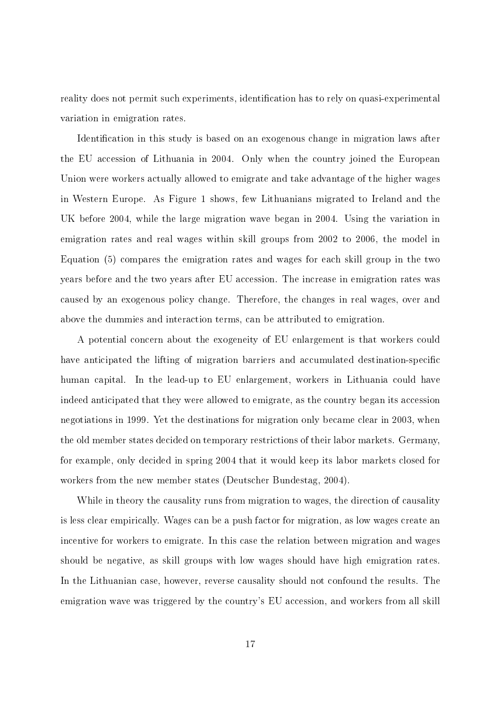reality does not permit such experiments, identification has to rely on quasi-experimental variation in emigration rates.

Identification in this study is based on an exogenous change in migration laws after the EU accession of Lithuania in 2004. Only when the country joined the European Union were workers actually allowed to emigrate and take advantage of the higher wages in Western Europe. As Figure 1 shows, few Lithuanians migrated to Ireland and the UK before 2004, while the large migration wave began in 2004. Using the variation in emigration rates and real wages within skill groups from 2002 to 2006, the model in Equation (5) compares the emigration rates and wages for each skill group in the two years before and the two years after EU accession. The increase in emigration rates was caused by an exogenous policy change. Therefore, the changes in real wages, over and above the dummies and interaction terms, can be attributed to emigration.

A potential concern about the exogeneity of EU enlargement is that workers could have anticipated the lifting of migration barriers and accumulated destination-specific human capital. In the lead-up to EU enlargement, workers in Lithuania could have indeed anticipated that they were allowed to emigrate, as the country began its accession negotiations in 1999. Yet the destinations for migration only became clear in 2003, when the old member states decided on temporary restrictions of their labor markets. Germany, for example, only decided in spring 2004 that it would keep its labor markets closed for workers from the new member states (Deutscher Bundestag, 2004).

While in theory the causality runs from migration to wages, the direction of causality is less clear empirically. Wages can be a push factor for migration, as low wages create an incentive for workers to emigrate. In this case the relation between migration and wages should be negative, as skill groups with low wages should have high emigration rates. In the Lithuanian case, however, reverse causality should not confound the results. The emigration wave was triggered by the country's EU accession, and workers from all skill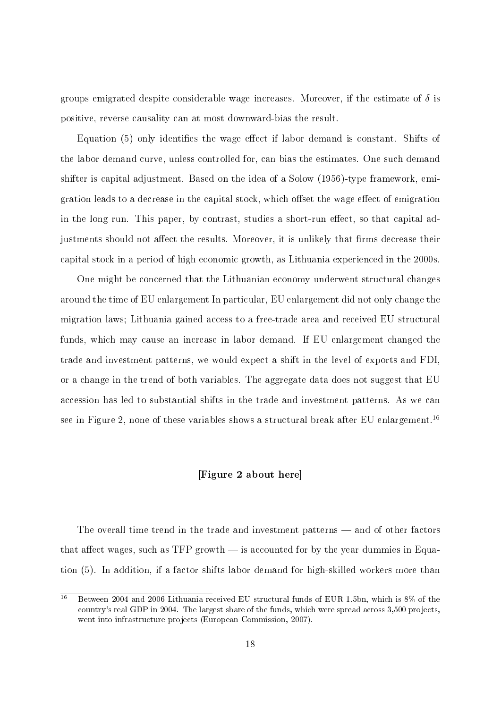groups emigrated despite considerable wage increases. Moreover, if the estimate of  $\delta$  is positive, reverse causality can at most downward-bias the result.

Equation  $(5)$  only identifies the wage effect if labor demand is constant. Shifts of the labor demand curve, unless controlled for, can bias the estimates. One such demand shifter is capital adjustment. Based on the idea of a Solow (1956)-type framework, emigration leads to a decrease in the capital stock, which offset the wage effect of emigration in the long run. This paper, by contrast, studies a short-run effect, so that capital adjustments should not affect the results. Moreover, it is unlikely that firms decrease their capital stock in a period of high economic growth, as Lithuania experienced in the 2000s.

One might be concerned that the Lithuanian economy underwent structural changes around the time of EU enlargement In particular, EU enlargement did not only change the migration laws; Lithuania gained access to a free-trade area and received EU structural funds, which may cause an increase in labor demand. If EU enlargement changed the trade and investment patterns, we would expect a shift in the level of exports and FDI, or a change in the trend of both variables. The aggregate data does not suggest that EU accession has led to substantial shifts in the trade and investment patterns. As we can see in Figure 2, none of these variables shows a structural break after EU enlargement.<sup>16</sup>

#### [Figure 2 about here]

The overall time trend in the trade and investment patterns  $-$  and of other factors that affect wages, such as TFP growth  $-$  is accounted for by the year dummies in Equation (5). In addition, if a factor shifts labor demand for high-skilled workers more than

 $\frac{16}{16}$  Between 2004 and 2006 Lithuania received EU structural funds of EUR 1.5bn, which is 8% of the country's real GDP in 2004. The largest share of the funds, which were spread across 3,500 projects, went into infrastructure projects (European Commission, 2007).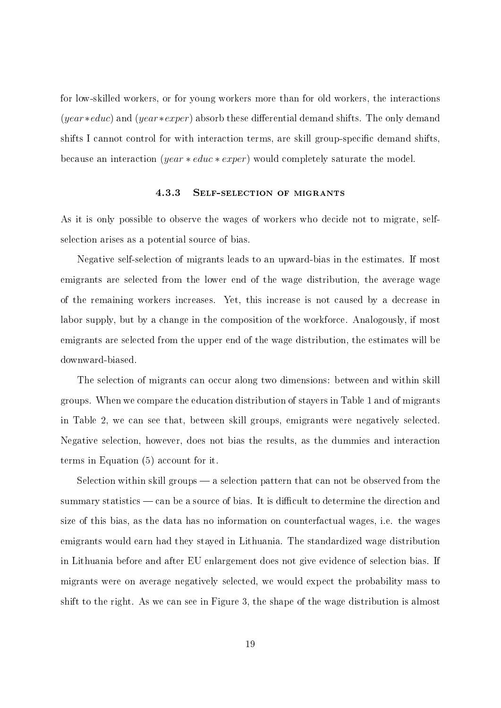for low-skilled workers, or for young workers more than for old workers, the interactions (year∗educ) and (year∗exper) absorb these differential demand shifts. The only demand shifts I cannot control for with interaction terms, are skill group-specific demand shifts, because an interaction (year ∗ educ ∗ exper) would completely saturate the model.

#### 4.3.3 Self-selection of migrants

As it is only possible to observe the wages of workers who decide not to migrate, selfselection arises as a potential source of bias.

Negative self-selection of migrants leads to an upward-bias in the estimates. If most emigrants are selected from the lower end of the wage distribution, the average wage of the remaining workers increases. Yet, this increase is not caused by a decrease in labor supply, but by a change in the composition of the workforce. Analogously, if most emigrants are selected from the upper end of the wage distribution, the estimates will be downward-biased.

The selection of migrants can occur along two dimensions: between and within skill groups. When we compare the education distribution of stayers in Table 1 and of migrants in Table 2, we can see that, between skill groups, emigrants were negatively selected. Negative selection, however, does not bias the results, as the dummies and interaction terms in Equation (5) account for it.

Selection within skill groups  $\frac{a}{b}$  a selection pattern that can not be observed from the summary statistics — can be a source of bias. It is difficult to determine the direction and size of this bias, as the data has no information on counterfactual wages, i.e. the wages emigrants would earn had they stayed in Lithuania. The standardized wage distribution in Lithuania before and after EU enlargement does not give evidence of selection bias. If migrants were on average negatively selected, we would expect the probability mass to shift to the right. As we can see in Figure 3, the shape of the wage distribution is almost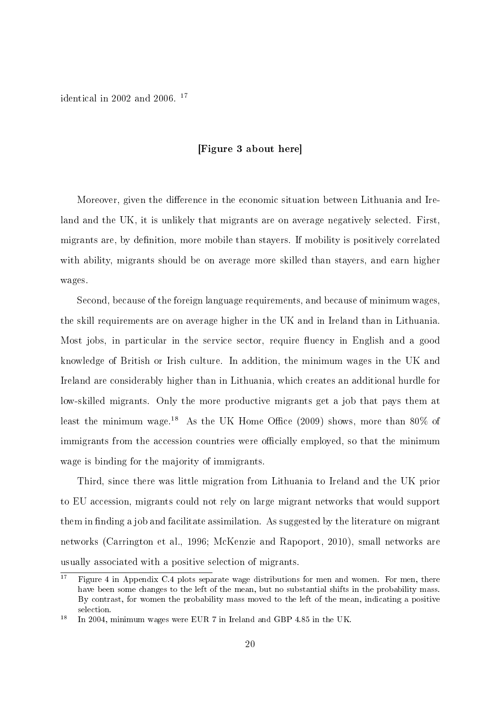identical in 2002 and 2006. <sup>17</sup>

#### [Figure 3 about here]

Moreover, given the difference in the economic situation between Lithuania and Ireland and the UK, it is unlikely that migrants are on average negatively selected. First, migrants are, by definition, more mobile than stayers. If mobility is positively correlated with ability, migrants should be on average more skilled than stayers, and earn higher wages.

Second, because of the foreign language requirements, and because of minimum wages, the skill requirements are on average higher in the UK and in Ireland than in Lithuania. Most jobs, in particular in the service sector, require fluency in English and a good knowledge of British or Irish culture. In addition, the minimum wages in the UK and Ireland are considerably higher than in Lithuania, which creates an additional hurdle for low-skilled migrants. Only the more productive migrants get a job that pays them at least the minimum wage.<sup>18</sup> As the UK Home Office (2009) shows, more than 80% of immigrants from the accession countries were officially employed, so that the minimum wage is binding for the majority of immigrants.

Third, since there was little migration from Lithuania to Ireland and the UK prior to EU accession, migrants could not rely on large migrant networks that would support them in finding a job and facilitate assimilation. As suggested by the literature on migrant networks (Carrington et al., 1996; McKenzie and Rapoport, 2010), small networks are usually associated with a positive selection of migrants.

 $\overline{17}$  Figure 4 in Appendix C.4 plots separate wage distributions for men and women. For men, there have been some changes to the left of the mean, but no substantial shifts in the probability mass. By contrast, for women the probability mass moved to the left of the mean, indicating a positive selection.

<sup>18</sup> In 2004, minimum wages were EUR 7 in Ireland and GBP 4.85 in the UK.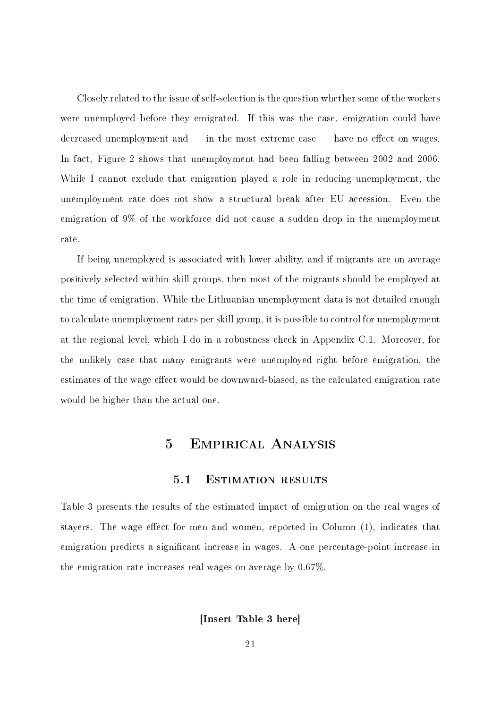Closely related to the issue of self-selection is the question whether some of the workers were unemployed before they emigrated. If this was the case, emigration could have decreased unemployment and  $-$  in the most extreme case  $-$  have no effect on wages. In fact, Figure 2 shows that unemployment had been falling between 2002 and 2006. While I cannot exclude that emigration played a role in reducing unemployment, the unemployment rate does not show a structural break after EU accession. Even the emigration of 9% of the workforce did not cause a sudden drop in the unemployment rate.

If being unemployed is associated with lower ability, and if migrants are on average positively selected within skill groups, then most of the migrants should be employed at the time of emigration. While the Lithuanian unemployment data is not detailed enough to calculate unemployment rates per skill group, it is possible to control for unemployment at the regional level, which I do in a robustness check in Appendix C.1. Moreover, for the unlikely case that many emigrants were unemployed right before emigration, the estimates of the wage effect would be downward-biased, as the calculated emigration rate would be higher than the actual one.

### 5 Empirical Analysis

#### 5.1 ESTIMATION RESULTS

Table 3 presents the results of the estimated impact of emigration on the real wages of stayers. The wage effect for men and women, reported in Column (1), indicates that emigration predicts a signicant increase in wages. A one percentage-point increase in the emigration rate increases real wages on average by 0.67%.

#### [Insert Table 3 here]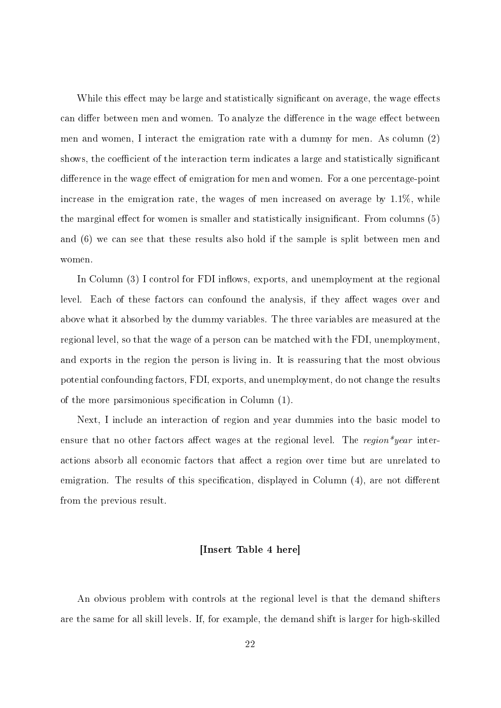While this effect may be large and statistically significant on average, the wage effects can differ between men and women. To analyze the difference in the wage effect between men and women, I interact the emigration rate with a dummy for men. As column  $(2)$ shows, the coefficient of the interaction term indicates a large and statistically significant difference in the wage effect of emigration for men and women. For a one percentage-point increase in the emigration rate, the wages of men increased on average by 1.1%, while the marginal effect for women is smaller and statistically insignificant. From columns  $(5)$ and (6) we can see that these results also hold if the sample is split between men and women.

In Column (3) I control for FDI inflows, exports, and unemployment at the regional level. Each of these factors can confound the analysis, if they affect wages over and above what it absorbed by the dummy variables. The three variables are measured at the regional level, so that the wage of a person can be matched with the FDI, unemployment, and exports in the region the person is living in. It is reassuring that the most obvious potential confounding factors, FDI, exports, and unemployment, do not change the results of the more parsimonious specification in Column  $(1)$ .

Next, I include an interaction of region and year dummies into the basic model to ensure that no other factors affect wages at the regional level. The region\*year interactions absorb all economic factors that affect a region over time but are unrelated to emigration. The results of this specification, displayed in Column  $(4)$ , are not different from the previous result.

#### [Insert Table 4 here]

An obvious problem with controls at the regional level is that the demand shifters are the same for all skill levels. If, for example, the demand shift is larger for high-skilled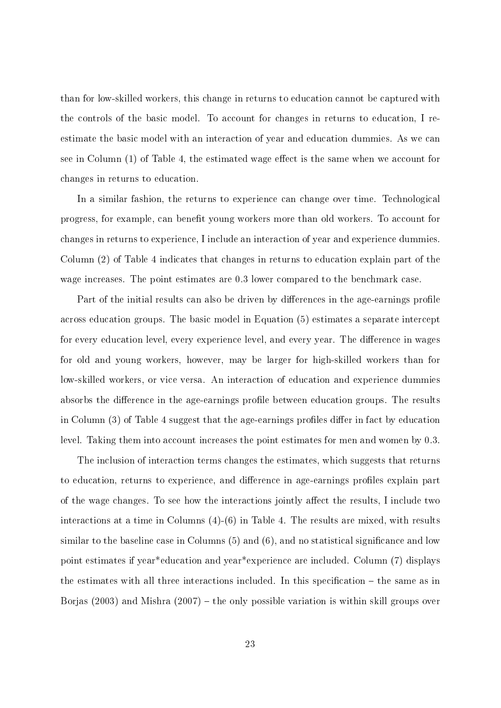than for low-skilled workers, this change in returns to education cannot be captured with the controls of the basic model. To account for changes in returns to education, I reestimate the basic model with an interaction of year and education dummies. As we can see in Column  $(1)$  of Table 4, the estimated wage effect is the same when we account for changes in returns to education.

In a similar fashion, the returns to experience can change over time. Technological progress, for example, can benefit young workers more than old workers. To account for changes in returns to experience, I include an interaction of year and experience dummies. Column (2) of Table 4 indicates that changes in returns to education explain part of the wage increases. The point estimates are 0.3 lower compared to the benchmark case.

Part of the initial results can also be driven by differences in the age-earnings profile across education groups. The basic model in Equation (5) estimates a separate intercept for every education level, every experience level, and every year. The difference in wages for old and young workers, however, may be larger for high-skilled workers than for low-skilled workers, or vice versa. An interaction of education and experience dummies absorbs the difference in the age-earnings profile between education groups. The results in Column  $(3)$  of Table 4 suggest that the age-earnings profiles differ in fact by education level. Taking them into account increases the point estimates for men and women by 0.3.

The inclusion of interaction terms changes the estimates, which suggests that returns to education, returns to experience, and difference in age-earnings profiles explain part of the wage changes. To see how the interactions jointly affect the results, I include two interactions at a time in Columns (4)-(6) in Table 4. The results are mixed, with results similar to the baseline case in Columns (5) and (6), and no statistical significance and low point estimates if year\*education and year\*experience are included. Column (7) displays the estimates with all three interactions included. In this specification  $-$  the same as in Borjas (2003) and Mishra (2007) – the only possible variation is within skill groups over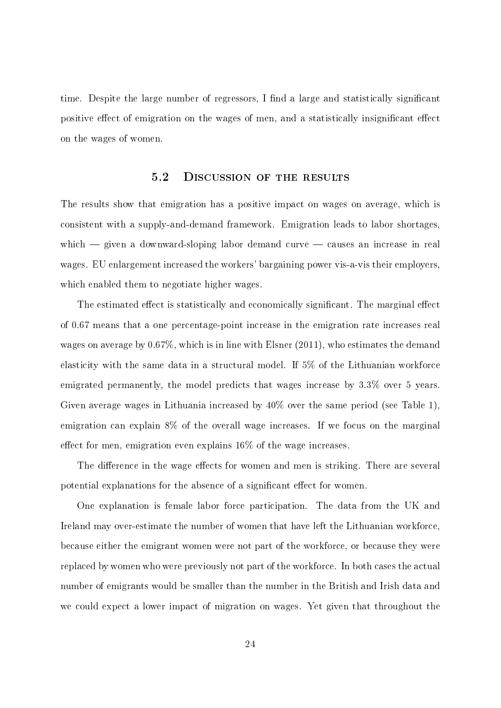time. Despite the large number of regressors, I find a large and statistically significant positive effect of emigration on the wages of men, and a statistically insignificant effect on the wages of women.

#### 5.2 Discussion of the results

The results show that emigration has a positive impact on wages on average, which is consistent with a supply-and-demand framework. Emigration leads to labor shortages, which  $-$  given a downward-sloping labor demand curve  $-$  causes an increase in real wages. EU enlargement increased the workers' bargaining power vis-a-vis their employers, which enabled them to negotiate higher wages.

The estimated effect is statistically and economically significant. The marginal effect of 0.67 means that a one percentage-point increase in the emigration rate increases real wages on average by 0.67%, which is in line with Elsner (2011), who estimates the demand elasticity with the same data in a structural model. If 5% of the Lithuanian workforce emigrated permanently, the model predicts that wages increase by 3.3% over 5 years. Given average wages in Lithuania increased by 40% over the same period (see Table 1), emigration can explain 8% of the overall wage increases. If we focus on the marginal effect for men, emigration even explains  $16\%$  of the wage increases.

The difference in the wage effects for women and men is striking. There are several potential explanations for the absence of a significant effect for women.

One explanation is female labor force participation. The data from the UK and Ireland may over-estimate the number of women that have left the Lithuanian workforce, because either the emigrant women were not part of the workforce, or because they were replaced by women who were previously not part of the workforce. In both cases the actual number of emigrants would be smaller than the number in the British and Irish data and we could expect a lower impact of migration on wages. Yet given that throughout the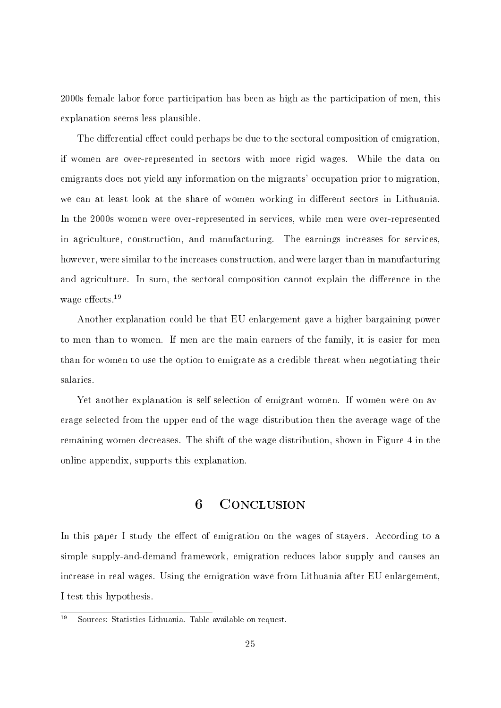2000s female labor force participation has been as high as the participation of men, this explanation seems less plausible.

The differential effect could perhaps be due to the sectoral composition of emigration, if women are over-represented in sectors with more rigid wages. While the data on emigrants does not yield any information on the migrants' occupation prior to migration, we can at least look at the share of women working in different sectors in Lithuania. In the 2000s women were over-represented in services, while men were over-represented in agriculture, construction, and manufacturing. The earnings increases for services, however, were similar to the increases construction, and were larger than in manufacturing and agriculture. In sum, the sectoral composition cannot explain the difference in the wage effects. $19$ 

Another explanation could be that EU enlargement gave a higher bargaining power to men than to women. If men are the main earners of the family, it is easier for men than for women to use the option to emigrate as a credible threat when negotiating their salaries.

Yet another explanation is self-selection of emigrant women. If women were on average selected from the upper end of the wage distribution then the average wage of the remaining women decreases. The shift of the wage distribution, shown in Figure 4 in the online appendix, supports this explanation.

## 6 Conclusion

In this paper I study the effect of emigration on the wages of stayers. According to a simple supply-and-demand framework, emigration reduces labor supply and causes an increase in real wages. Using the emigration wave from Lithuania after EU enlargement, I test this hypothesis.

<sup>19</sup> Sources: Statistics Lithuania. Table available on request.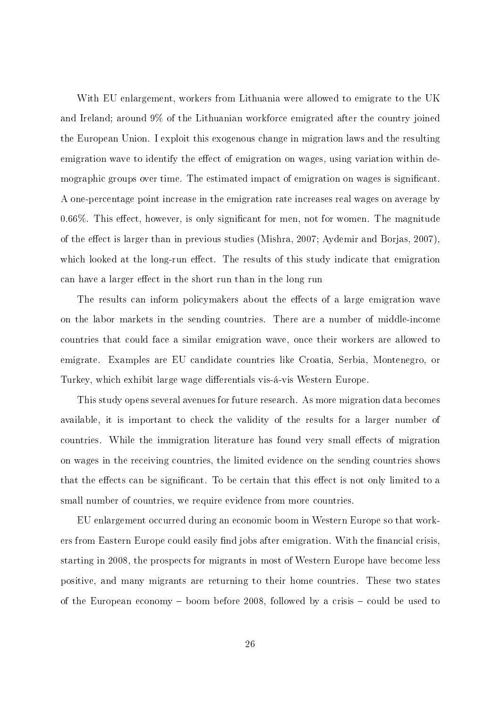With EU enlargement, workers from Lithuania were allowed to emigrate to the UK and Ireland; around 9% of the Lithuanian workforce emigrated after the country joined the European Union. I exploit this exogenous change in migration laws and the resulting emigration wave to identify the effect of emigration on wages, using variation within demographic groups over time. The estimated impact of emigration on wages is significant. A one-percentage point increase in the emigration rate increases real wages on average by  $0.66\%$ . This effect, however, is only significant for men, not for women. The magnitude of the effect is larger than in previous studies (Mishra, 2007; Aydemir and Borjas, 2007), which looked at the long-run effect. The results of this study indicate that emigration can have a larger effect in the short run than in the long run

The results can inform policymakers about the effects of a large emigration wave on the labor markets in the sending countries. There are a number of middle-income countries that could face a similar emigration wave, once their workers are allowed to emigrate. Examples are EU candidate countries like Croatia, Serbia, Montenegro, or Turkey, which exhibit large wage differentials vis-á-vis Western Europe.

This study opens several avenues for future research. As more migration data becomes available, it is important to check the validity of the results for a larger number of countries. While the immigration literature has found very small effects of migration on wages in the receiving countries, the limited evidence on the sending countries shows that the effects can be significant. To be certain that this effect is not only limited to a small number of countries, we require evidence from more countries.

EU enlargement occurred during an economic boom in Western Europe so that workers from Eastern Europe could easily find jobs after emigration. With the financial crisis, starting in 2008, the prospects for migrants in most of Western Europe have become less positive, and many migrants are returning to their home countries. These two states of the European economy  $-$  boom before 2008, followed by a crisis  $-$  could be used to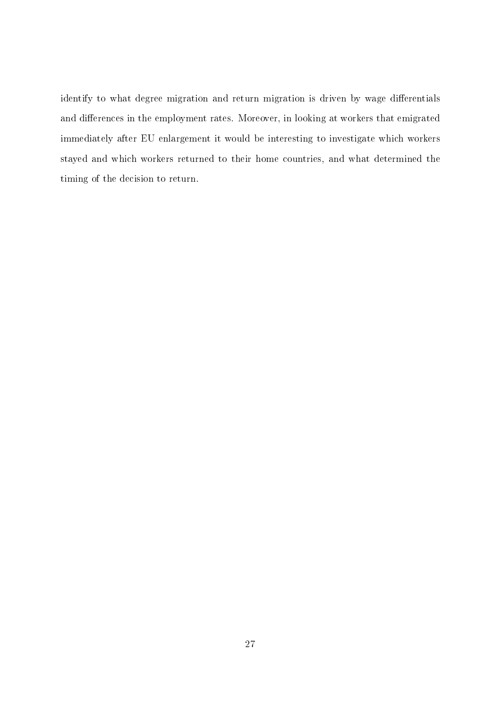identify to what degree migration and return migration is driven by wage differentials and differences in the employment rates. Moreover, in looking at workers that emigrated immediately after EU enlargement it would be interesting to investigate which workers stayed and which workers returned to their home countries, and what determined the timing of the decision to return.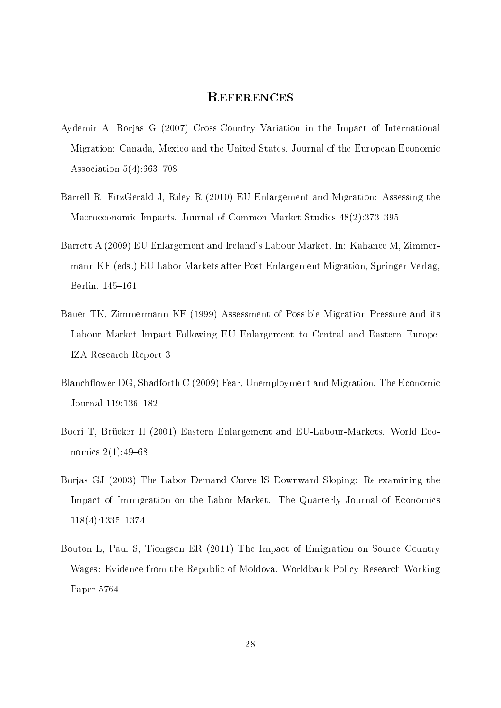### **REFERENCES**

- Aydemir A, Borjas G (2007) Cross-Country Variation in the Impact of International Migration: Canada, Mexico and the United States. Journal of the European Economic Association  $5(4):663-708$
- Barrell R, FitzGerald J, Riley R (2010) EU Enlargement and Migration: Assessing the Macroeconomic Impacts. Journal of Common Market Studies  $48(2):373-395$
- Barrett A (2009) EU Enlargement and Ireland's Labour Market. In: Kahanec M, Zimmermann KF (eds.) EU Labor Markets after Post-Enlargement Migration, Springer-Verlag, Berlin. 145-161
- Bauer TK, Zimmermann KF (1999) Assessment of Possible Migration Pressure and its Labour Market Impact Following EU Enlargement to Central and Eastern Europe. IZA Research Report 3
- Blanchflower DG, Shadforth C (2009) Fear, Unemployment and Migration. The Economic Journal 119:136-182
- Boeri T, Brücker H (2001) Eastern Enlargement and EU-Labour-Markets. World Economics  $2(1):49-68$
- Borjas GJ (2003) The Labor Demand Curve IS Downward Sloping: Re-examining the Impact of Immigration on the Labor Market. The Quarterly Journal of Economics  $118(4):1335-1374$
- Bouton L, Paul S, Tiongson ER (2011) The Impact of Emigration on Source Country Wages: Evidence from the Republic of Moldova. Worldbank Policy Research Working Paper 5764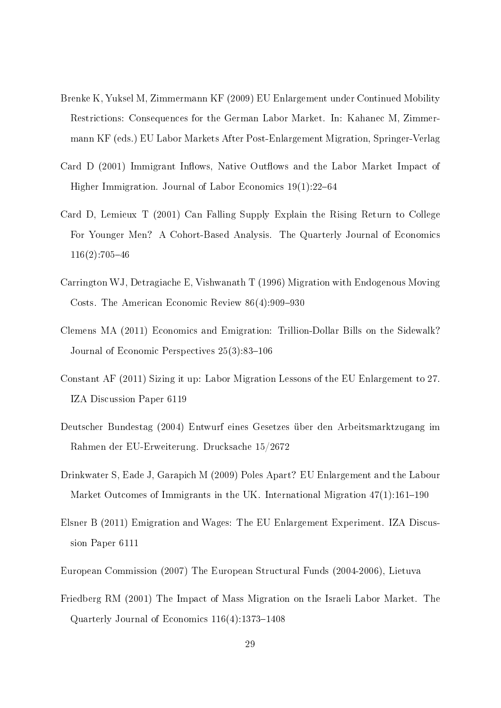- Brenke K, Yuksel M, Zimmermann KF (2009) EU Enlargement under Continued Mobility Restrictions: Consequences for the German Labor Market. In: Kahanec M, Zimmermann KF (eds.) EU Labor Markets After Post-Enlargement Migration, Springer-Verlag
- Card D (2001) Immigrant Inflows, Native Outflows and the Labor Market Impact of Higher Immigration. Journal of Labor Economics  $19(1):22-64$
- Card D, Lemieux T (2001) Can Falling Supply Explain the Rising Return to College For Younger Men? A Cohort-Based Analysis. The Quarterly Journal of Economics 116(2):70546
- Carrington WJ, Detragiache E, Vishwanath T (1996) Migration with Endogenous Moving Costs. The American Economic Review  $86(4):909-930$
- Clemens MA (2011) Economics and Emigration: Trillion-Dollar Bills on the Sidewalk? Journal of Economic Perspectives  $25(3):83-106$
- Constant AF (2011) Sizing it up: Labor Migration Lessons of the EU Enlargement to 27. IZA Discussion Paper 6119
- Deutscher Bundestag (2004) Entwurf eines Gesetzes über den Arbeitsmarktzugang im Rahmen der EU-Erweiterung. Drucksache 15/2672
- Drinkwater S, Eade J, Garapich M (2009) Poles Apart? EU Enlargement and the Labour Market Outcomes of Immigrants in the UK. International Migration  $47(1)$ :161-190
- Elsner B (2011) Emigration and Wages: The EU Enlargement Experiment. IZA Discussion Paper 6111
- European Commission (2007) The European Structural Funds (2004-2006), Lietuva
- Friedberg RM (2001) The Impact of Mass Migration on the Israeli Labor Market. The Quarterly Journal of Economics  $116(4):1373-1408$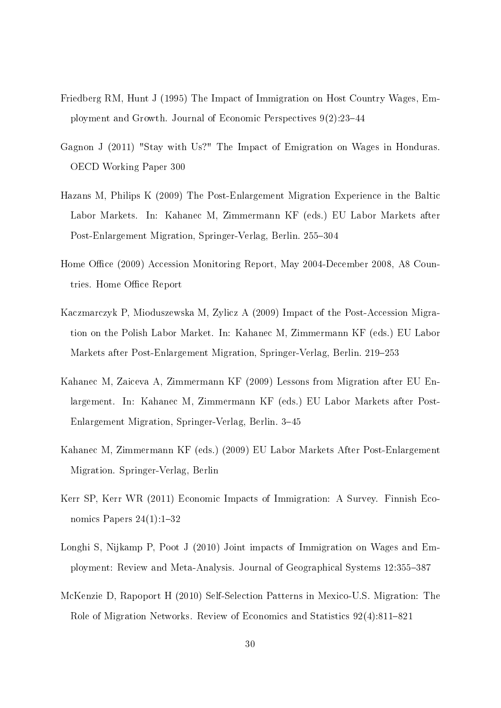- Friedberg RM, Hunt J (1995) The Impact of Immigration on Host Country Wages, Employment and Growth. Journal of Economic Perspectives  $9(2)$ :23-44
- Gagnon J (2011) "Stay with Us?" The Impact of Emigration on Wages in Honduras. OECD Working Paper 300
- Hazans M, Philips K (2009) The Post-Enlargement Migration Experience in the Baltic Labor Markets. In: Kahanec M, Zimmermann KF (eds.) EU Labor Markets after Post-Enlargement Migration, Springer-Verlag, Berlin. 255–304
- Home Office (2009) Accession Monitoring Report, May 2004-December 2008, A8 Countries. Home Office Report
- Kaczmarczyk P, Mioduszewska M, Zylicz A (2009) Impact of the Post-Accession Migration on the Polish Labor Market. In: Kahanec M, Zimmermann KF (eds.) EU Labor Markets after Post-Enlargement Migration, Springer-Verlag, Berlin. 219–253
- Kahanec M, Zaiceva A, Zimmermann KF (2009) Lessons from Migration after EU Enlargement. In: Kahanec M, Zimmermann KF (eds.) EU Labor Markets after Post-Enlargement Migration, Springer-Verlag, Berlin. 3–45
- Kahanec M, Zimmermann KF (eds.) (2009) EU Labor Markets After Post-Enlargement Migration. Springer-Verlag, Berlin
- Kerr SP, Kerr WR (2011) Economic Impacts of Immigration: A Survey. Finnish Economics Papers  $24(1):1-32$
- Longhi S, Nijkamp P, Poot J (2010) Joint impacts of Immigration on Wages and Employment: Review and Meta-Analysis. Journal of Geographical Systems 12:355-387
- McKenzie D, Rapoport H (2010) Self-Selection Patterns in Mexico-U.S. Migration: The Role of Migration Networks. Review of Economics and Statistics  $92(4):811-821$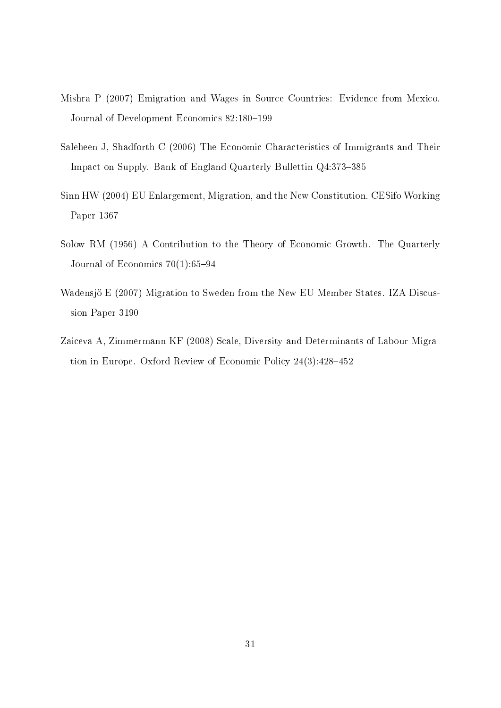- Mishra P (2007) Emigration and Wages in Source Countries: Evidence from Mexico. Journal of Development Economics 82:180-199
- Saleheen J, Shadforth C (2006) The Economic Characteristics of Immigrants and Their Impact on Supply. Bank of England Quarterly Bullettin Q4:373-385
- Sinn HW (2004) EU Enlargement, Migration, and the New Constitution. CESifo Working Paper 1367
- Solow RM (1956) A Contribution to the Theory of Economic Growth. The Quarterly Journal of Economics  $70(1):65-94$
- Wadensjö E (2007) Migration to Sweden from the New EU Member States. IZA Discussion Paper 3190
- Zaiceva A, Zimmermann KF (2008) Scale, Diversity and Determinants of Labour Migration in Europe. Oxford Review of Economic Policy  $24(3):428-452$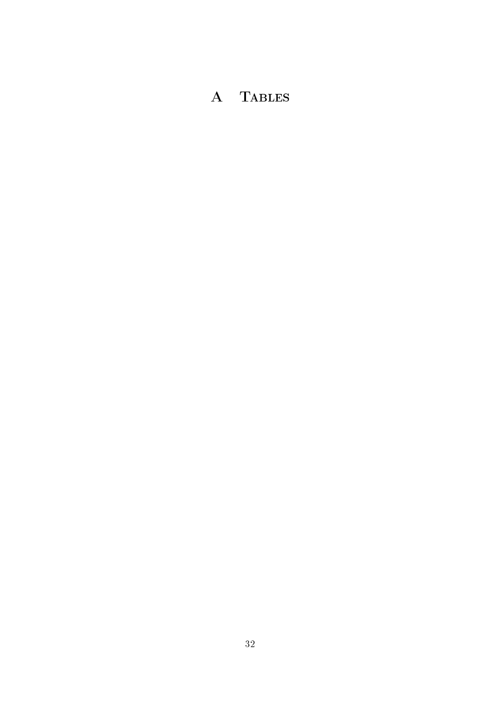## A Tables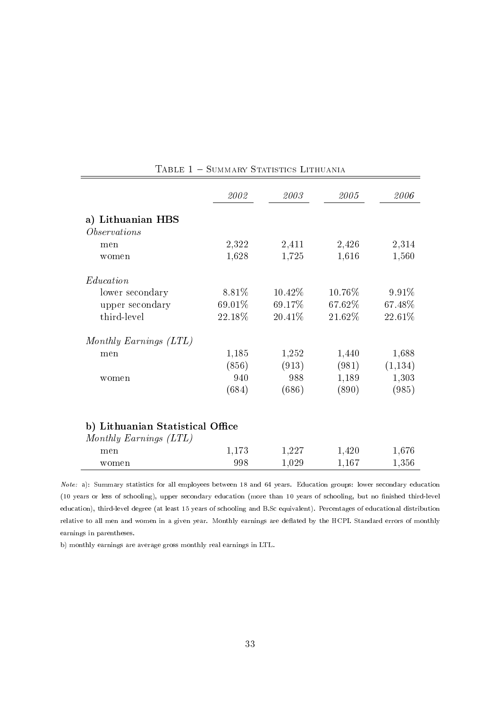| 2002<br>2003<br>2005<br>2006<br>a) Lithuanian HBS<br><i>Observations</i><br>2,322<br>2,411<br>2,314<br>2,426<br>men<br>1,628<br>1,725<br>1,616<br>1,560<br>women<br>Education<br>10.76%<br>8.81\%<br>10.42\%<br>9.91%<br>lower secondary<br>69.01%<br>69.17%<br>67.62%<br>67.48%<br>upper secondary |
|-----------------------------------------------------------------------------------------------------------------------------------------------------------------------------------------------------------------------------------------------------------------------------------------------------|
|                                                                                                                                                                                                                                                                                                     |
|                                                                                                                                                                                                                                                                                                     |
|                                                                                                                                                                                                                                                                                                     |
|                                                                                                                                                                                                                                                                                                     |
|                                                                                                                                                                                                                                                                                                     |
|                                                                                                                                                                                                                                                                                                     |
|                                                                                                                                                                                                                                                                                                     |
|                                                                                                                                                                                                                                                                                                     |
|                                                                                                                                                                                                                                                                                                     |
|                                                                                                                                                                                                                                                                                                     |
| 22.18%<br>20.41%<br>21.62%<br>22.61%<br>third-level                                                                                                                                                                                                                                                 |
| Monthly Earnings (LTL)                                                                                                                                                                                                                                                                              |
| 1,185<br>1,252<br>1,440<br>1,688<br>men                                                                                                                                                                                                                                                             |
| (856)<br>(913)<br>(1, 134)<br>(981)                                                                                                                                                                                                                                                                 |
| 940<br>988<br>1,303<br>1,189<br>women                                                                                                                                                                                                                                                               |
| (684)<br>(890)<br>(985)<br>(686)                                                                                                                                                                                                                                                                    |
|                                                                                                                                                                                                                                                                                                     |
| b) Lithuanian Statistical Office                                                                                                                                                                                                                                                                    |
| Monthly Earnings (LTL)                                                                                                                                                                                                                                                                              |
| 1,173<br>1,227<br>1,420<br>1,676<br>men                                                                                                                                                                                                                                                             |
| 998<br>1,029<br>1,167<br>1,356<br>women                                                                                                                                                                                                                                                             |

TABLE 1 - SUMMARY STATISTICS LITHUANIA

Note: a): Summary statistics for all employees between 18 and 64 years. Education groups: lower secondary education (10 years or less of schooling), upper secondary education (more than 10 years of schooling, but no finished third-level education), third-level degree (at least 15 years of schooling and B.Sc equivalent). Percentages of educational distribution relative to all men and women in a given year. Monthly earnings are deflated by the HCPI. Standard errors of monthly earnings in parentheses.

b) monthly earnings are average gross monthly real earnings in LTL.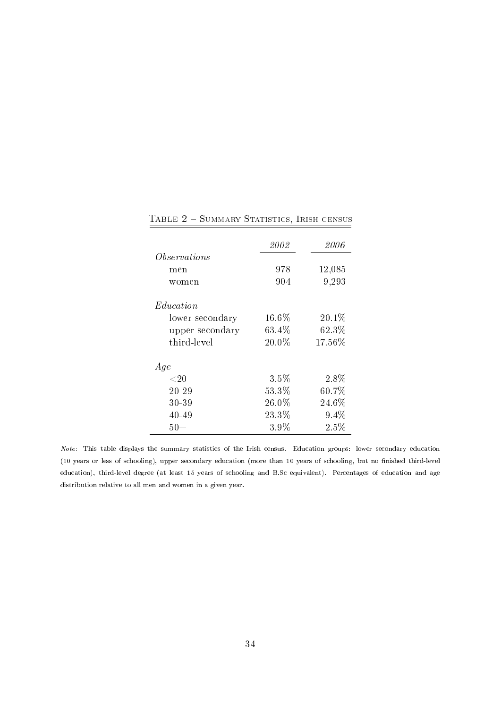|                     | 2002     | 2006     |
|---------------------|----------|----------|
| <i>Observations</i> |          |          |
| men                 | 978      | 12,085   |
| women               | 904      | 9,293    |
| Education           |          |          |
| lower secondary     | $16.6\%$ | $20.1\%$ |
| upper secondary     | $63.4\%$ | 62.3%    |
| third-level         | $20.0\%$ | 17.56%   |
| <i>Age</i>          |          |          |
| $<$ 20              | 3.5%     | $2.8\%$  |
| $20 - 29$           | 53.3%    | $60.7\%$ |
| 30-39               | $26.0\%$ | 24.6%    |
| 40-49               | 23.3\%   | $9.4\%$  |
| $50+$               | $3.9\%$  | 2.5%     |

### TABLE 2 - SUMMARY STATISTICS, IRISH CENSUS

Note: This table displays the summary statistics of the Irish census. Education groups: lower secondary education (10 years or less of schooling), upper secondary education (more than 10 years of schooling, but no finished third-level education), third-level degree (at least 15 years of schooling and B.Sc equivalent). Percentages of education and age distribution relative to all men and women in a given year.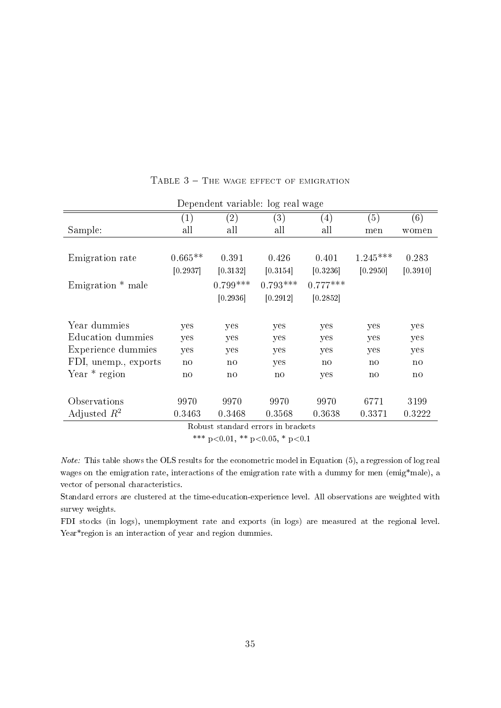| Dependent variable: log real wage  |                   |                   |                   |                   |                  |          |  |
|------------------------------------|-------------------|-------------------|-------------------|-------------------|------------------|----------|--|
|                                    | $\left( 1\right)$ | $\left( 2\right)$ | $\left( 3\right)$ | $\left( 4\right)$ | $\left(5\right)$ | (6)      |  |
| Sample:                            | all               | all               | all               | all               | men              | women    |  |
|                                    |                   |                   |                   |                   |                  |          |  |
| Emigration rate                    | $0.665**$         | 0.391             | 0.426             | 0.401             | $1.245***$       | 0.283    |  |
|                                    | [0.2937]          | [0.3132]          | [0.3154]          | [0.3236]          | [0.2950]         | [0.3910] |  |
| Emigration * male                  |                   | $0.799***$        | $0.793***$        | $0.777***$        |                  |          |  |
|                                    |                   | [0.2936]          | [0.2912]          | [0.2852]          |                  |          |  |
|                                    |                   |                   |                   |                   |                  |          |  |
| Year dummies                       | yes               | yes               | yes               | yes               | yes              | yes      |  |
| Education dummies                  | yes               | yes               | yes               | yes               | yes              | yes      |  |
| Experience dummies                 | yes               | yes               | yes               | yes               | yes              | yes      |  |
| FDI, unemp., exports               | no                | no                | yes               | $\mathbf{n}$      | no               | no       |  |
| Year $*$ region                    | $\mathbf{n}$      | $\mathbf{n}$      | $\mathbf{n}$      | yes               | $\mathbf{n}$     | no       |  |
|                                    |                   |                   |                   |                   |                  |          |  |
| Observations                       | 9970              | 9970              | 9970              | 9970              | 6771             | 3199     |  |
| Adjusted $R^2$                     | 0.3463            | 0.3468            | 0.3568            | 0.3638            | 0.3371           | 0.3222   |  |
| Robust standard errors in brackets |                   |                   |                   |                   |                  |          |  |

### TABLE  $3 -$  The wage effect of emigration

\*\*\* p<0.01, \*\* p<0.05, \* p<0.1

Note: This table shows the OLS results for the econometric model in Equation (5), a regression of log real wages on the emigration rate, interactions of the emigration rate with a dummy for men (emig\*male), a vector of personal characteristics.

Standard errors are clustered at the time-education-experience level. All observations are weighted with survey weights.

FDI stocks (in logs), unemployment rate and exports (in logs) are measured at the regional level. Year\*region is an interaction of year and region dummies.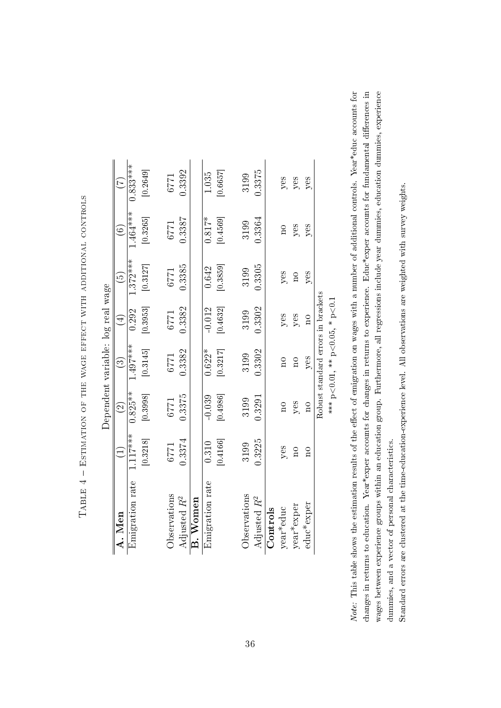| A. Men              |                         | $\widehat{\odot}$       | Dependent variable: log real wage<br>$\widehat{\odot}$ | $\widehat{\mathbb{F}}$  | $\widehat{\Xi}$         | $\widehat{\odot}$       |            |
|---------------------|-------------------------|-------------------------|--------------------------------------------------------|-------------------------|-------------------------|-------------------------|------------|
| Emigration rate     | $1.117***$              | $0.825**$               | $1.497***$                                             | 0.292                   | $1.372***$              | $1.464***$              | $0.833***$ |
|                     | [0.3218]                | [0.3998]                | [0.3145]                                               | [0.3953]                | [0.3127]                | [0.3265]                | [0.2649]   |
| Observations        | 6771                    | <b>LL2</b>              | L <sub>2</sub> 9                                       | L <sub>2</sub> 9        | L <sub>2</sub> 9        | 6771                    | 6771       |
| Adjusted $R^2$      | 0.3374                  | 0.3375                  | 0.3382                                                 | 0.3382                  | 0.3385                  | 0.3387                  | 0.3392     |
| B. Women            |                         |                         |                                                        |                         |                         |                         |            |
| Emigration rate     | 0.310                   | $-0.039$                | $0.622*$                                               | $-0.012$                | 0.642                   | $0.817*$                | 1.035      |
|                     | [0.4166]                | [0.4986]                | [0.3217]                                               | [0.4632]                | [0.3859]                | [0.4569]                | [0.6657]   |
| <b>Jbservations</b> | 3199                    | 3199                    | 3199                                                   | 3199                    | 3199                    | 3199                    | 3199       |
| Adjusted $R^2$      | 0.3225                  | 0.3291                  | 0.3302                                                 | 0.3302                  | 0.3305                  | 0.3364                  | 0.3375     |
| Controls            |                         |                         |                                                        |                         |                         |                         |            |
| year*educ           | yes                     | $\overline{\mathbf{n}}$ | $\overline{\mathbf{n}}$                                | yes                     | yes                     | $\overline{\mathbf{n}}$ | yes        |
| year*exper          | $\overline{\mathbf{n}}$ | yes                     | $\overline{\mathbf{n}}$                                | yes                     | $\overline{\mathbf{n}}$ | yes                     | $y$ es     |
| educ*exper          | $\overline{\mathbf{n}}$ | $\overline{\Omega}$     | yes                                                    | $\overline{\mathbf{n}}$ | yes                     | yes                     | yes        |
|                     |                         |                         | Robust standard errors in brackets                     |                         |                         |                         |            |
|                     |                         |                         | *** p<0.01, ** p<0.05, * p<0.1                         |                         |                         |                         |            |
|                     |                         |                         |                                                        |                         |                         |                         |            |

TABLE  $4$  – ESTIMATION OF THE WAGE EFFECT WITH ADDITIONAL CONTROLS Table 4 Estimation of the wage effect with additional controls

wages between experience groups within an education group. Furthermore, all regressions include year dummies, education dummies, experience Note: This table shows the estimation results of the effect of emigration on wages with a number of additional controls. Year\*educ accounts for changes in returns to education. Year\*exper accounts for changes in returns to experience. Educ\*exper accounts for fundamental differences in Note: This table shows the estimation results of the effect of emigration on wages with a number of additional controls. Year\*educ accounts for changes in returns to education. Year\*exper accounts for changes in returns to experience. Educ\*exper accounts for fundamental differences in wages between experience groups within an education group. Furthermore, all regressions include year dummies, education dummies, experience dummies, and a vector of personal characteristics. dummies, and a vector of personal characteristics.

Standard errors are clustered at the time-education-experience level. All observations are weighted with survey weights. Standard errors are clustered at the time-education-experience level. All observations are weighted with survey weights.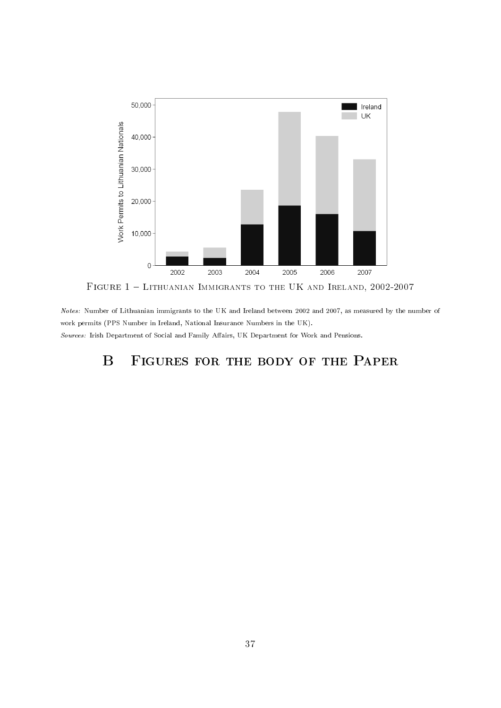

Figure 1 Lithuanian Immigrants to the UK and Ireland, 2002-2007

Notes: Number of Lithuanian immigrants to the UK and Ireland between 2002 and 2007, as measured by the number of work permits (PPS Number in Ireland, National Insurance Numbers in the UK).

Sources: Irish Department of Social and Family Affairs, UK Department for Work and Pensions.

## B Figures for the body of the Paper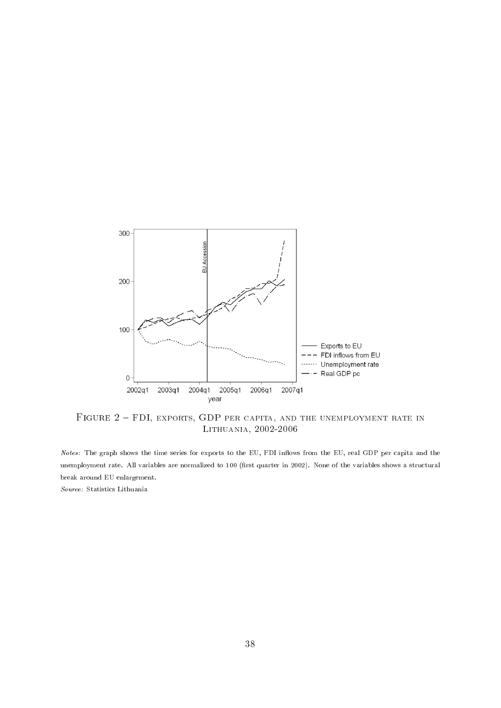

FIGURE  $2$  – FDI, exports, GDP per capita, and the unemployment rate in Lithuania, 2002-2006

Notes: The graph shows the time series for exports to the EU, FDI inflows from the EU, real GDP per capita and the unemployment rate. All variables are normalized to 100 (first quarter in 2002). None of the variables shows a structural break around EU enlargement.

Source: Statistics Lithuania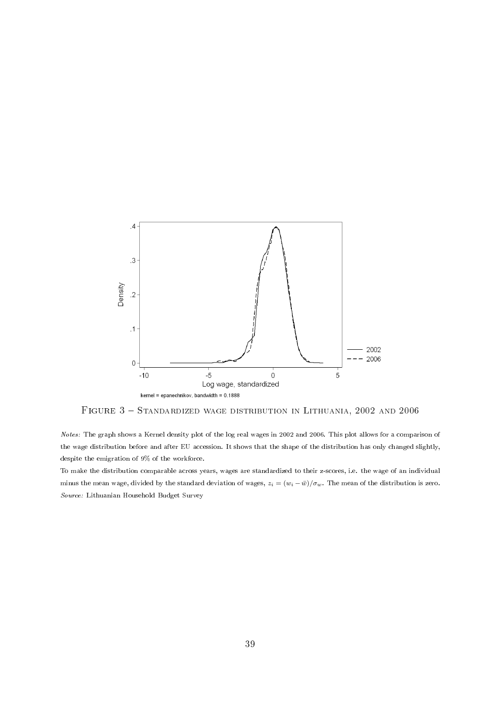

FIGURE  $3$  – Standardized wage distribution in Lithuania, 2002 and 2006

Notes: The graph shows a Kernel density plot of the log real wages in 2002 and 2006. This plot allows for a comparison of the wage distribution before and after EU accession. It shows that the shape of the distribution has only changed slightly, despite the emigration of 9% of the workforce.

To make the distribution comparable across years, wages are standardized to their z-scores, i.e. the wage of an individual minus the mean wage, divided by the standard deviation of wages,  $z_i = (w_i - \bar{w})/\sigma_w$ . The mean of the distribution is zero. Source: Lithuanian Household Budget Survey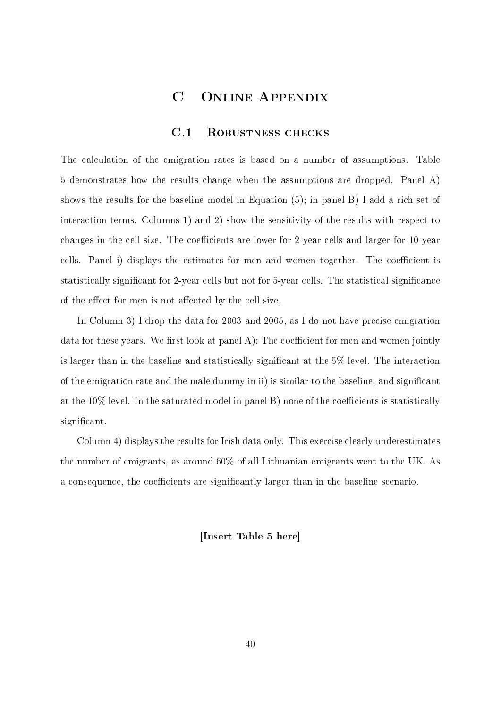## C Online Appendix

#### C.1 Robustness checks

The calculation of the emigration rates is based on a number of assumptions. Table 5 demonstrates how the results change when the assumptions are dropped. Panel A) shows the results for the baseline model in Equation (5); in panel B) I add a rich set of interaction terms. Columns 1) and 2) show the sensitivity of the results with respect to changes in the cell size. The coefficients are lower for 2-year cells and larger for 10-year cells. Panel i) displays the estimates for men and women together. The coefficient is statistically signicant for 2-year cells but not for 5-year cells. The statistical signicance of the effect for men is not affected by the cell size.

In Column 3) I drop the data for 2003 and 2005, as I do not have precise emigration data for these years. We first look at panel  $A$ ): The coefficient for men and women jointly is larger than in the baseline and statistically significant at the 5% level. The interaction of the emigration rate and the male dummy in ii) is similar to the baseline, and signicant at the  $10\%$  level. In the saturated model in panel B) none of the coefficients is statistically significant.

Column 4) displays the results for Irish data only. This exercise clearly underestimates the number of emigrants, as around 60% of all Lithuanian emigrants went to the UK. As a consequence, the coefficients are significantly larger than in the baseline scenario.

[Insert Table 5 here]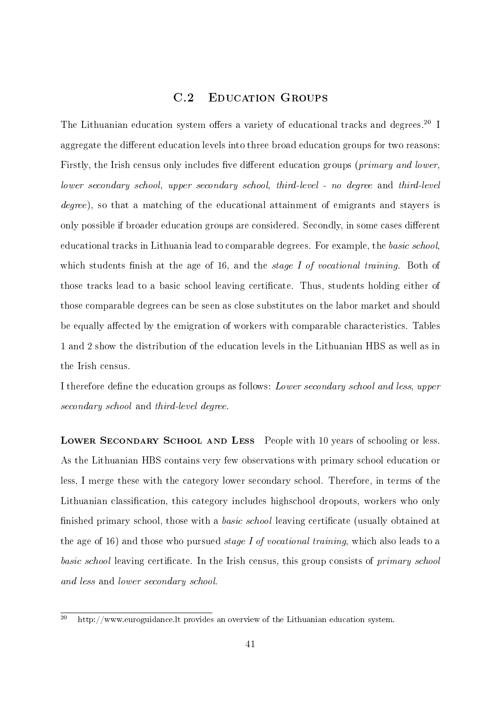### C.2 Education Groups

The Lithuanian education system offers a variety of educational tracks and degrees.<sup>20</sup> I aggregate the different education levels into three broad education groups for two reasons: Firstly, the Irish census only includes five different education groups (*primary and lower*, lower secondary school, upper secondary school, third-level - no degree and third-level degree), so that a matching of the educational attainment of emigrants and stayers is only possible if broader education groups are considered. Secondly, in some cases different educational tracks in Lithuania lead to comparable degrees. For example, the basic school, which students finish at the age of 16, and the *stage I of vocational training*. Both of those tracks lead to a basic school leaving certificate. Thus, students holding either of those comparable degrees can be seen as close substitutes on the labor market and should be equally affected by the emigration of workers with comparable characteristics. Tables 1 and 2 show the distribution of the education levels in the Lithuanian HBS as well as in the Irish census.

I therefore define the education groups as follows: Lower secondary school and less, upper secondary school and third-level degree.

LOWER SECONDARY SCHOOL AND LESS People with 10 years of schooling or less. As the Lithuanian HBS contains very few observations with primary school education or less, I merge these with the category lower secondary school. Therefore, in terms of the Lithuanian classification, this category includes highschool dropouts, workers who only finished primary school, those with a *basic school* leaving certificate (usually obtained at the age of 16) and those who pursued stage I of vocational training, which also leads to a basic school leaving certificate. In the Irish census, this group consists of *primary school* and less and lower secondary school.

 $\overline{a_0}$  http://www.euroguidance.lt provides an overview of the Lithuanian education system.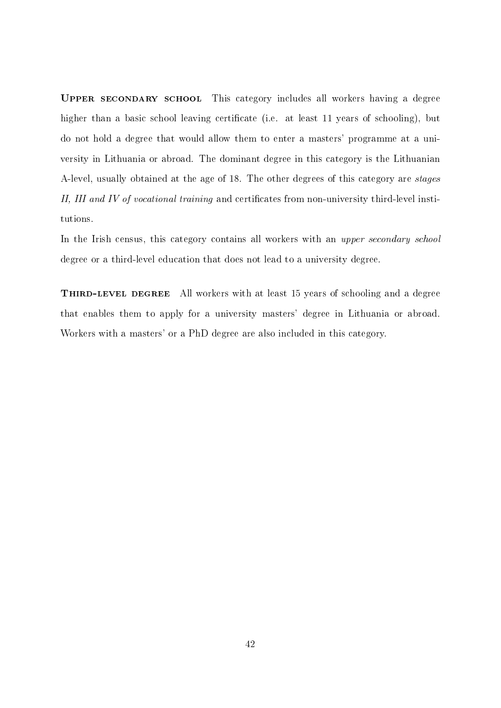Upper secondary school This category includes all workers having a degree higher than a basic school leaving certificate (i.e. at least 11 years of schooling), but do not hold a degree that would allow them to enter a masters' programme at a university in Lithuania or abroad. The dominant degree in this category is the Lithuanian A-level, usually obtained at the age of 18. The other degrees of this category are stages II, III and IV of vocational training and certificates from non-university third-level institutions.

In the Irish census, this category contains all workers with an upper secondary school degree or a third-level education that does not lead to a university degree.

THIRD-LEVEL DEGREE All workers with at least 15 years of schooling and a degree that enables them to apply for a university masters' degree in Lithuania or abroad. Workers with a masters' or a PhD degree are also included in this category.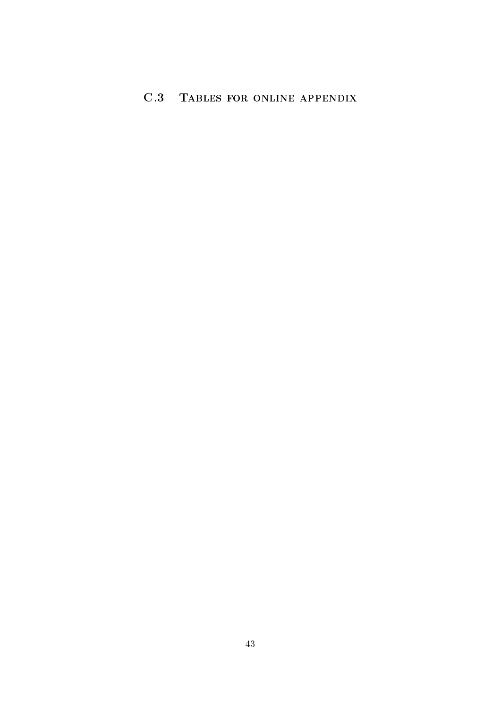## C.3 Tables for online appendix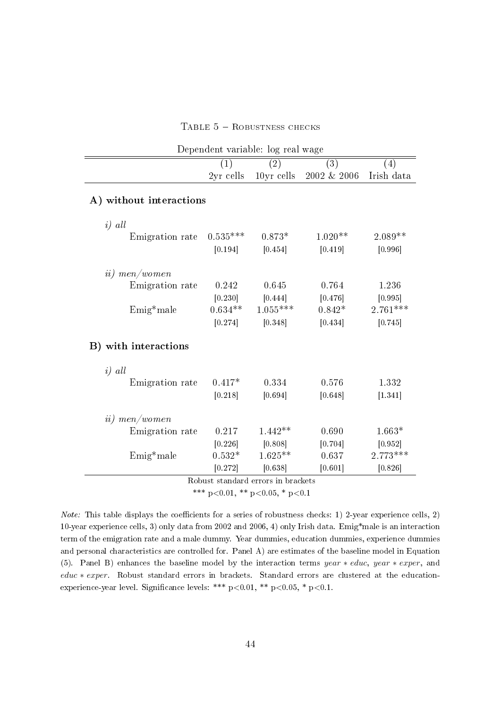TABLE  $5 -$ ROBUSTNESS CHECKS

| Dependent variable: log real wage |            |              |                |            |  |  |
|-----------------------------------|------------|--------------|----------------|------------|--|--|
|                                   | (1)        | (2)          | (3)            | (4)        |  |  |
|                                   | 2yr cells  | $10yr$ cells | $2002~\&~2006$ | Irish data |  |  |
| A) without interactions           |            |              |                |            |  |  |
| $i)$ all                          |            |              |                |            |  |  |
| Emigration rate                   | $0.535***$ | $0.873*$     | $1.020**$      | $2.089**$  |  |  |
|                                   | [0.194]    | [0.454]      | [0.419]        | [0.996]    |  |  |
| $ii)$ men/women                   |            |              |                |            |  |  |
| Emigration rate                   | 0.242      | 0.645        | 0.764          | 1.236      |  |  |
|                                   | [0.230]    | [0.444]      | [0.476]        | [0.995]    |  |  |
| $Emig*male$                       | $0.634**$  | $1.055***$   | $0.842*$       | $2.761***$ |  |  |
|                                   | [0.274]    | [0.348]      | [0.434]        | [0.745]    |  |  |
| B) with interactions              |            |              |                |            |  |  |
| $i)$ all                          |            |              |                |            |  |  |
| Emigration rate                   | $0.417*$   | 0.334        | 0.576          | 1.332      |  |  |
|                                   | [0.218]    | [0.694]      | [0.648]        | [1.341]    |  |  |
| $ii)$ men/women                   |            |              |                |            |  |  |
| Emigration rate                   | 0.217      | $1.442**$    | 0.690          | $1.663*$   |  |  |
|                                   | [0.226]    | [0.808]      | [0.704]        | [0.952]    |  |  |
| $Emig*male$                       | $0.532*$   | $1.625**$    | 0.637          | $2.773***$ |  |  |
|                                   | [0.272]    | [0.638]      | [0.601]        | [0.826]    |  |  |

Robust standard errors in brackets

\*\*\* p<0.01, \*\* p<0.05, \* p<0.1

Note: This table displays the coefficients for a series of robustness checks: 1) 2-year experience cells, 2) 10-year experience cells, 3) only data from 2002 and 2006, 4) only Irish data. Emig\*male is an interaction term of the emigration rate and a male dummy. Year dummies, education dummies, experience dummies and personal characteristics are controlled for. Panel A) are estimates of the baseline model in Equation (5). Panel B) enhances the baseline model by the interaction terms year  $*$  educ, year  $*$  exper, and educ \* exper. Robust standard errors in brackets. Standard errors are clustered at the educationexperience-year level. Significance levels: \*\*\* p<0.01, \*\* p<0.05, \* p<0.1.